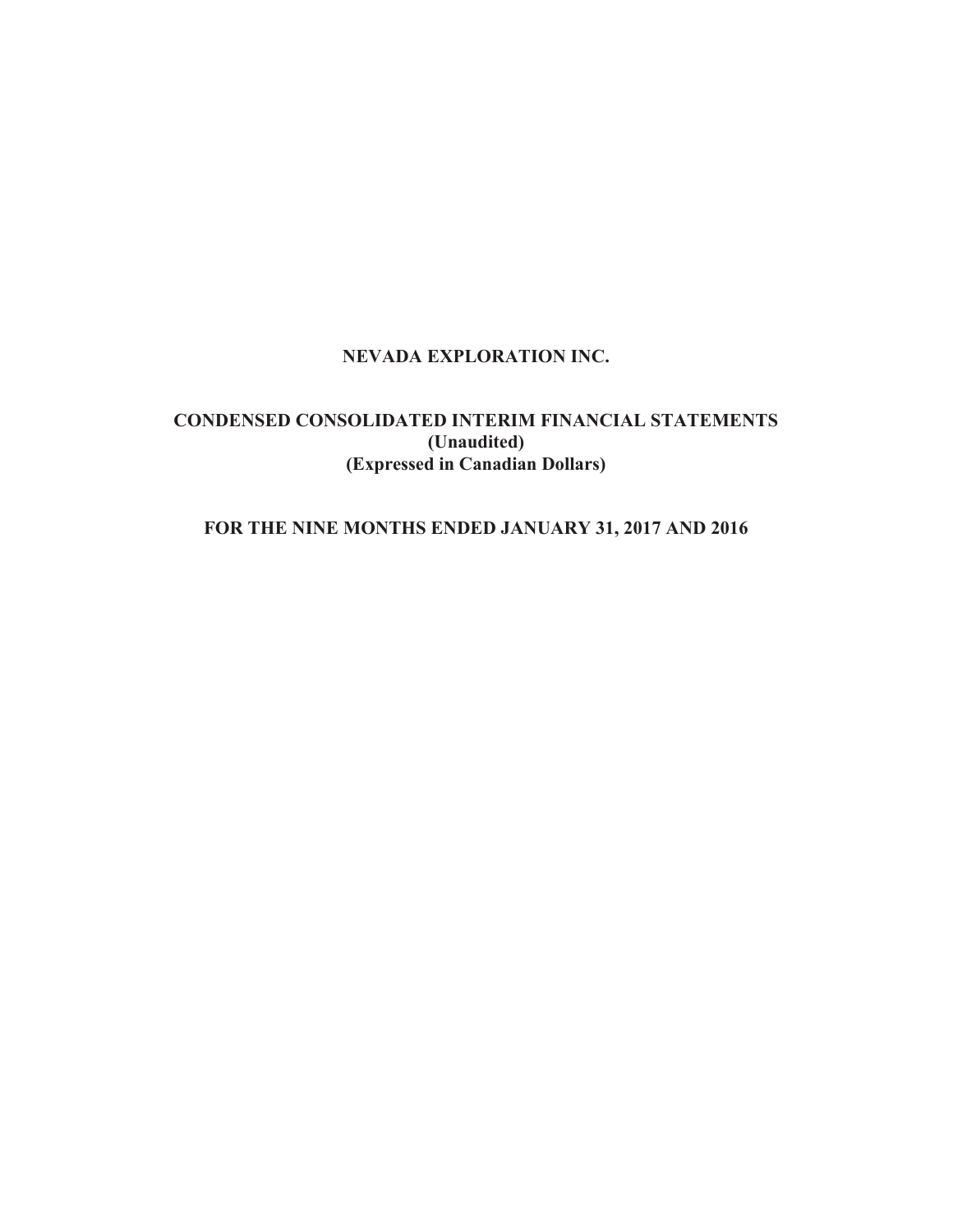# **NEVADA EXPLORATION INC.**

# **CONDENSED CONSOLIDATED INTERIM FINANCIAL STATEMENTS (Unaudited) (Expressed in Canadian Dollars)**

# **FOR THE NINE MONTHS ENDED JANUARY 31, 2017 AND 2016**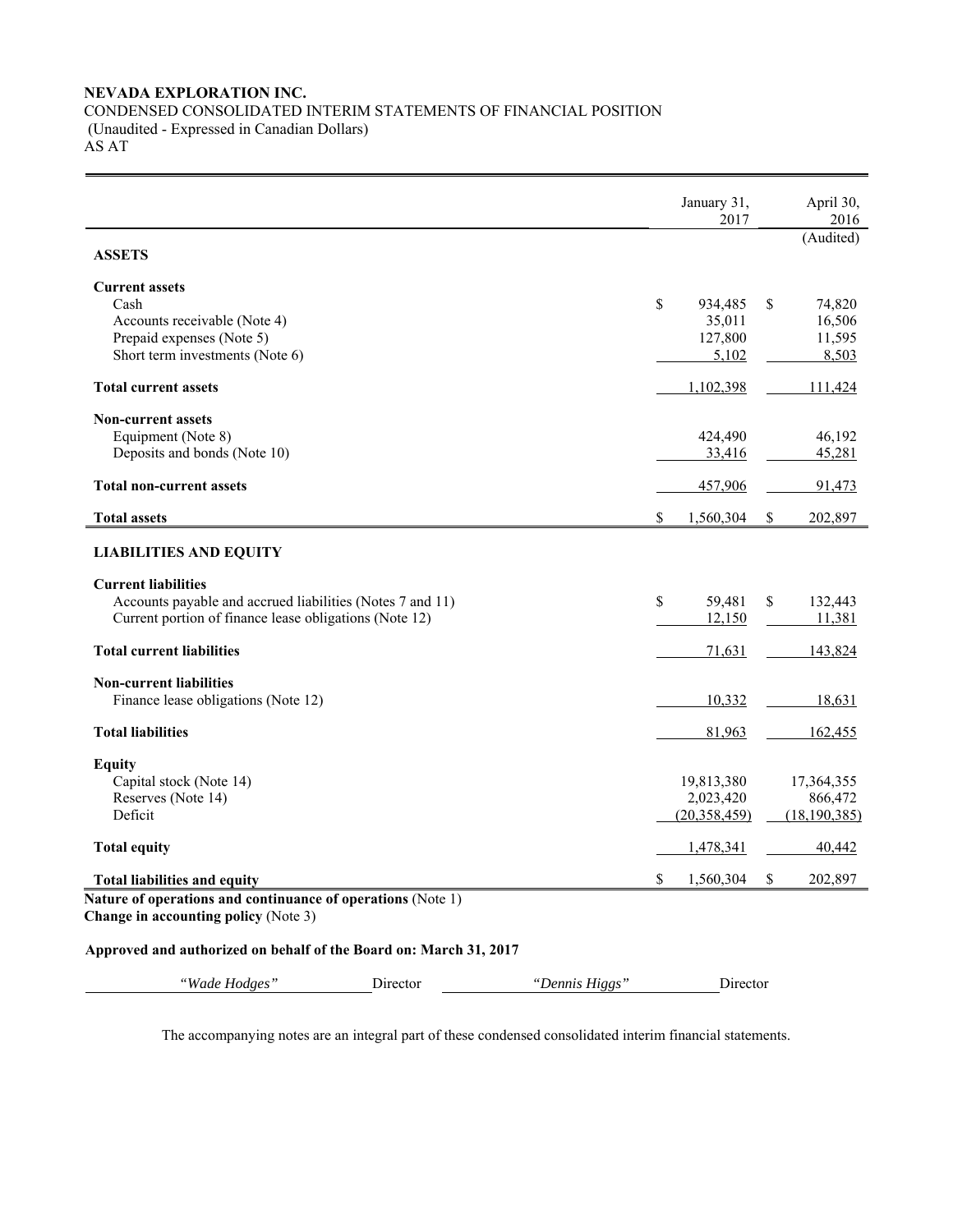# **NEVADA EXPLORATION INC.**  CONDENSED CONSOLIDATED INTERIM STATEMENTS OF FINANCIAL POSITION (Unaudited - Expressed in Canadian Dollars) AS AT

|                                                                                                                                                   |          |                | January 31,<br>2017                         |              | April 30,<br>2016                       |
|---------------------------------------------------------------------------------------------------------------------------------------------------|----------|----------------|---------------------------------------------|--------------|-----------------------------------------|
| <b>ASSETS</b>                                                                                                                                     |          |                |                                             |              | (Audited)                               |
| <b>Current assets</b><br>Cash<br>Accounts receivable (Note 4)<br>Prepaid expenses (Note 5)<br>Short term investments (Note 6)                     |          |                | \$<br>934,485<br>35,011<br>127,800<br>5,102 | \$           | 74,820<br>16,506<br>11,595<br>8,503     |
| <b>Total current assets</b>                                                                                                                       |          |                | 1,102,398                                   |              | 111,424                                 |
| <b>Non-current assets</b><br>Equipment (Note 8)<br>Deposits and bonds (Note 10)<br><b>Total non-current assets</b>                                |          |                | 424,490<br>33,416                           |              | 46,192<br>45,281                        |
|                                                                                                                                                   |          |                | 457,906                                     |              | 91,473                                  |
| <b>Total assets</b>                                                                                                                               |          |                | \$<br>1,560,304                             | \$           | 202,897                                 |
| <b>LIABILITIES AND EQUITY</b>                                                                                                                     |          |                |                                             |              |                                         |
| <b>Current liabilities</b><br>Accounts payable and accrued liabilities (Notes 7 and 11)<br>Current portion of finance lease obligations (Note 12) |          |                | \$<br>59,481<br>12,150                      | \$           | 132,443<br>11,381                       |
| <b>Total current liabilities</b>                                                                                                                  |          |                | 71,631                                      |              | 143,824                                 |
| <b>Non-current liabilities</b><br>Finance lease obligations (Note 12)                                                                             |          |                | 10,332                                      |              | 18,631                                  |
| <b>Total liabilities</b>                                                                                                                          |          |                | 81,963                                      |              | <u>162,455</u>                          |
| <b>Equity</b><br>Capital stock (Note 14)<br>Reserves (Note 14)<br>Deficit                                                                         |          |                | 19,813,380<br>2,023,420<br>(20, 358, 459)   |              | 17,364,355<br>866,472<br>(18, 190, 385) |
| <b>Total equity</b>                                                                                                                               |          |                | 1,478,341                                   |              | 40,442                                  |
| <b>Total liabilities and equity</b>                                                                                                               |          |                | \$<br>1,560,304                             | <sup>S</sup> | 202,897                                 |
| Nature of operations and continuance of operations (Note 1)<br>Change in accounting policy (Note 3)                                               |          |                |                                             |              |                                         |
| Approved and authorized on behalf of the Board on: March 31, 2017                                                                                 |          |                |                                             |              |                                         |
| "Wade Hodges"                                                                                                                                     | Director | "Dennis Higgs" | Director                                    |              |                                         |

The accompanying notes are an integral part of these condensed consolidated interim financial statements.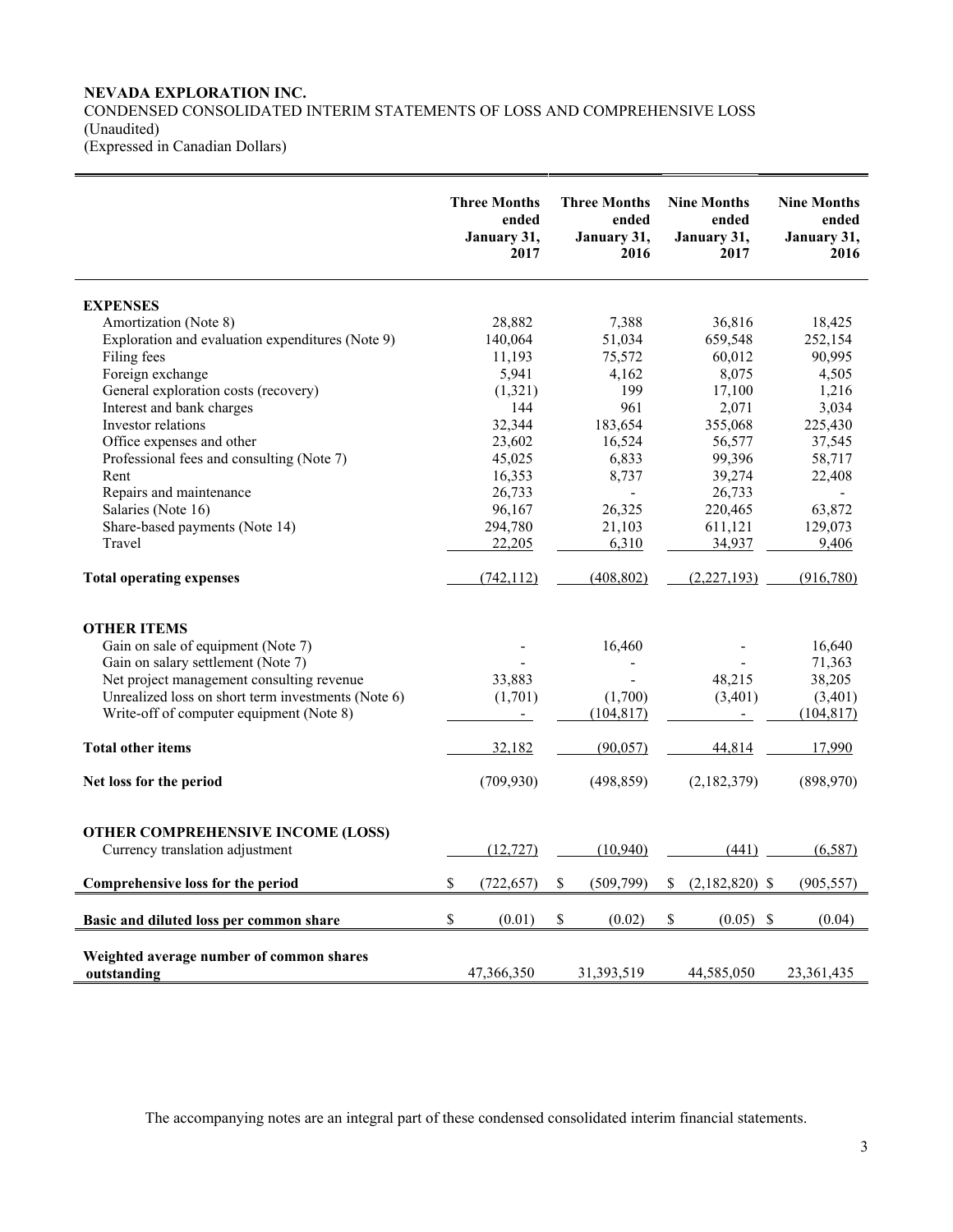# **NEVADA EXPLORATION INC.**

CONDENSED CONSOLIDATED INTERIM STATEMENTS OF LOSS AND COMPREHENSIVE LOSS (Unaudited) (Expressed in Canadian Dollars)

|                                                                             | <b>Three Months</b><br>ended<br>January 31,<br>2017 | <b>Three Months</b><br>ended<br>January 31,<br>2016 | <b>Nine Months</b><br>ended<br>January 31,<br>2017 | <b>Nine Months</b><br>ended<br>January 31,<br>2016 |
|-----------------------------------------------------------------------------|-----------------------------------------------------|-----------------------------------------------------|----------------------------------------------------|----------------------------------------------------|
| <b>EXPENSES</b>                                                             |                                                     |                                                     |                                                    |                                                    |
| Amortization (Note 8)                                                       | 28,882                                              | 7,388                                               | 36,816                                             | 18,425                                             |
| Exploration and evaluation expenditures (Note 9)                            | 140,064                                             | 51,034                                              | 659,548                                            | 252,154                                            |
| Filing fees                                                                 | 11,193                                              | 75,572                                              | 60,012                                             | 90,995                                             |
| Foreign exchange                                                            | 5,941                                               | 4,162                                               | 8,075                                              | 4,505                                              |
| General exploration costs (recovery)                                        | (1,321)                                             | 199                                                 | 17,100                                             | 1,216                                              |
| Interest and bank charges                                                   | 144                                                 | 961                                                 | 2,071                                              | 3,034                                              |
| Investor relations                                                          | 32,344                                              | 183,654                                             | 355,068                                            | 225,430                                            |
| Office expenses and other                                                   | 23,602                                              | 16,524                                              | 56,577                                             | 37,545                                             |
| Professional fees and consulting (Note 7)                                   | 45,025                                              | 6,833                                               | 99,396                                             | 58,717                                             |
| Rent                                                                        | 16,353                                              | 8,737                                               | 39,274                                             | 22,408                                             |
| Repairs and maintenance                                                     | 26,733                                              |                                                     | 26,733                                             |                                                    |
| Salaries (Note 16)                                                          | 96,167                                              | 26,325                                              | 220,465                                            | 63,872                                             |
| Share-based payments (Note 14)                                              | 294,780                                             | 21,103                                              | 611,121                                            | 129,073                                            |
| Travel                                                                      | 22,205                                              | 6,310                                               | 34,937                                             | 9,406                                              |
| <b>Total operating expenses</b>                                             | (742, 112)                                          | (408, 802)                                          | (2,227,193)                                        | (916,780)                                          |
| <b>OTHER ITEMS</b>                                                          |                                                     |                                                     |                                                    |                                                    |
| Gain on sale of equipment (Note 7)                                          |                                                     | 16,460                                              |                                                    | 16,640                                             |
| Gain on salary settlement (Note 7)                                          |                                                     |                                                     |                                                    | 71,363                                             |
| Net project management consulting revenue                                   | 33,883                                              |                                                     | 48,215                                             | 38,205                                             |
| Unrealized loss on short term investments (Note 6)                          | (1,701)                                             | (1,700)                                             | (3,401)                                            | (3,401)                                            |
| Write-off of computer equipment (Note 8)                                    | $\overline{\phantom{a}}$                            | (104, 817)                                          |                                                    | (104, 817)                                         |
| <b>Total other items</b>                                                    | 32,182                                              | (90, 057)                                           | 44,814                                             | 17,990                                             |
| Net loss for the period                                                     | (709, 930)                                          | (498, 859)                                          | (2,182,379)                                        | (898,970)                                          |
| <b>OTHER COMPREHENSIVE INCOME (LOSS)</b><br>Currency translation adjustment | (12, 727)                                           | (10, 940)                                           | (441)                                              | (6, 587)                                           |
| Comprehensive loss for the period                                           | \$<br>(722, 657)                                    | \$<br>(509,799)                                     | \$<br>$(2,182,820)$ \$                             | (905, 557)                                         |
| Basic and diluted loss per common share                                     | \$<br>(0.01)                                        | \$<br>(0.02)                                        | \$<br>(0.05)<br>-S                                 | (0.04)                                             |
| Weighted average number of common shares<br>outstanding                     | 47,366,350                                          | 31,393,519                                          | 44,585,050                                         | 23, 361, 435                                       |

The accompanying notes are an integral part of these condensed consolidated interim financial statements.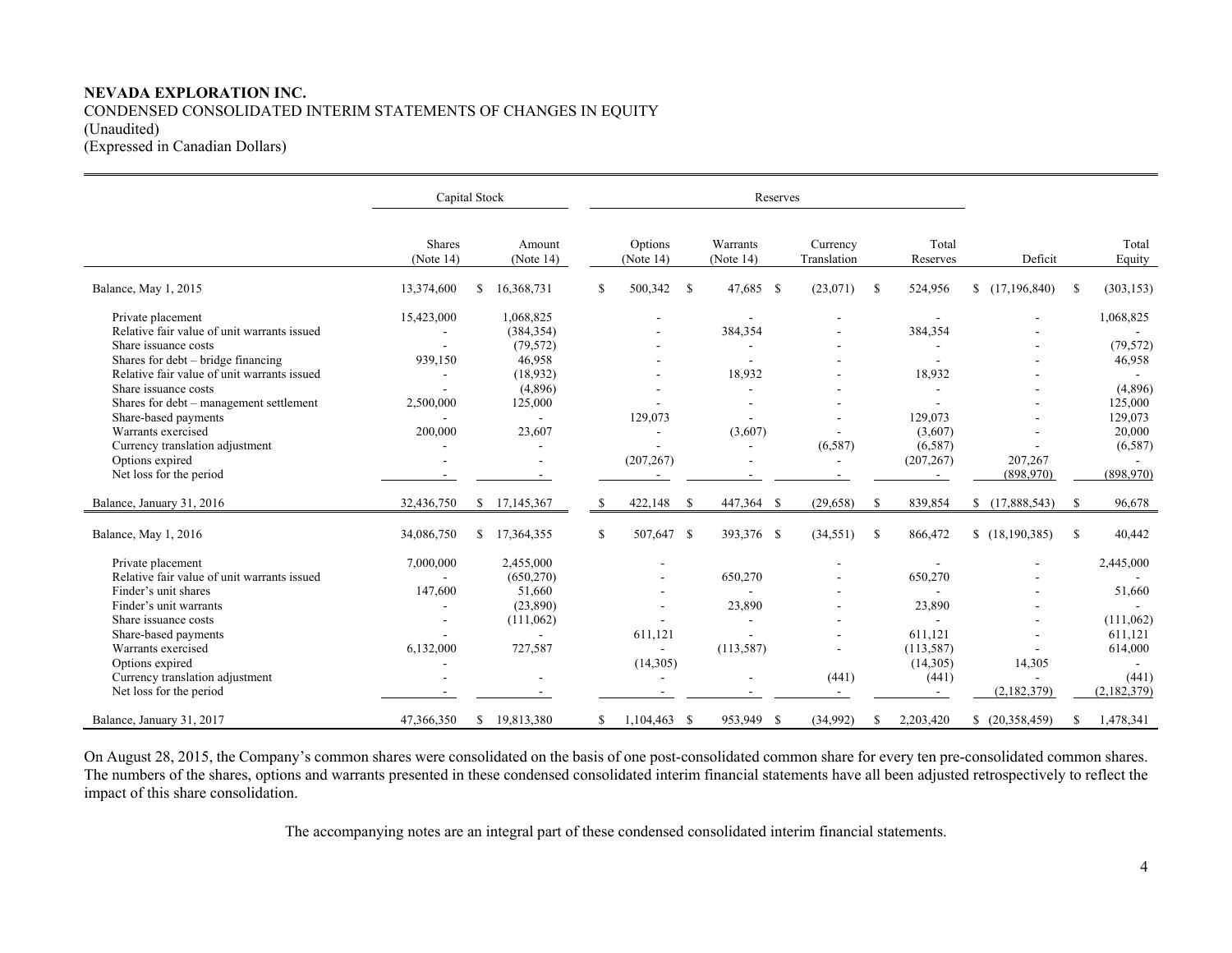# **NEVADA EXPLORATION INC.**  CONDENSED CONSOLIDATED INTERIM STATEMENTS OF CHANGES IN EQUITY (Unaudited) (Expressed in Canadian Dollars)

|                                                                                                           | Capital Stock                 |               |                                      | Reserves |                      |    |                       |  |                                     |    |                                   |                      |    |                                |  |  |  |  |  |  |  |
|-----------------------------------------------------------------------------------------------------------|-------------------------------|---------------|--------------------------------------|----------|----------------------|----|-----------------------|--|-------------------------------------|----|-----------------------------------|----------------------|----|--------------------------------|--|--|--|--|--|--|--|
|                                                                                                           | <b>Shares</b><br>(Note $14$ ) |               | Amount<br>(Note $14$ )               |          | Options<br>(Note 14) |    | Warrants<br>(Note 14) |  | Currency<br>Translation             |    | Total<br>Reserves                 | Deficit              |    | Total<br>Equity                |  |  |  |  |  |  |  |
| Balance, May 1, 2015                                                                                      | 13,374,600                    | \$            | 16,368,731                           | S.       | 500,342              | -S | 47,685 \$             |  | (23,071)                            | \$ | 524,956                           | (17,196,840)         | S. | (303, 153)                     |  |  |  |  |  |  |  |
| Private placement<br>Relative fair value of unit warrants issued<br>Share issuance costs                  | 15,423,000                    |               | 1,068,825<br>(384, 354)<br>(79, 572) |          |                      |    | 384,354               |  |                                     |    | 384,354                           |                      |    | 1,068,825<br>(79, 572)         |  |  |  |  |  |  |  |
| Shares for debt – bridge financing<br>Relative fair value of unit warrants issued<br>Share issuance costs | 939,150                       |               | 46,958<br>(18,932)<br>(4,896)        |          |                      |    | 18,932                |  |                                     |    | 18,932                            |                      |    | 46,958<br>(4,896)              |  |  |  |  |  |  |  |
| Shares for debt - management settlement<br>Share-based payments                                           | 2,500,000                     |               | 125,000                              |          | 129,073              |    |                       |  |                                     |    | 129,073                           |                      |    | 125,000<br>129,073             |  |  |  |  |  |  |  |
| Warrants exercised<br>Currency translation adjustment<br>Options expired<br>Net loss for the period       | 200,000                       |               | 23,607                               |          | (207, 267)           |    | (3,607)               |  | (6,587)<br>$\overline{\phantom{a}}$ |    | (3,607)<br>(6,587)<br>(207, 267)  | 207,267<br>(898,970) |    | 20,000<br>(6,587)<br>(898,970) |  |  |  |  |  |  |  |
| Balance, January 31, 2016                                                                                 | 32,436,750                    |               | \$17,145,367                         |          | 422,148              | -S | 447,364 \$            |  | (29, 658)                           | S  | 839,854                           | \$(17,888,543)       | \$ | 96,678                         |  |  |  |  |  |  |  |
| Balance, May 1, 2016                                                                                      | 34,086,750                    | S.            | 17,364,355                           | \$       | 507,647 \$           |    | 393,376 \$            |  | (34,551)                            | S  | 866,472                           | \$(18,190,385)       | \$ | 40,442                         |  |  |  |  |  |  |  |
| Private placement<br>Relative fair value of unit warrants issued                                          | 7,000,000                     |               | 2,455,000<br>(650, 270)              |          |                      |    | 650,270               |  |                                     |    | 650,270                           |                      |    | 2,445,000                      |  |  |  |  |  |  |  |
| Finder's unit shares<br>Finder's unit warrants<br>Share issuance costs                                    | 147,600                       |               | 51,660<br>(23,890)<br>(111,062)      |          | $\overline{a}$       |    | 23,890                |  |                                     |    | 23,890                            |                      |    | 51,660<br>(111,062)            |  |  |  |  |  |  |  |
| Share-based payments<br>Warrants exercised<br>Options expired                                             | 6,132,000                     |               | 727,587                              |          | 611,121<br>(14,305)  |    | (113, 587)            |  |                                     |    | 611,121<br>(113, 587)<br>(14,305) | 14,305               |    | 611,121<br>614,000             |  |  |  |  |  |  |  |
| Currency translation adjustment<br>Net loss for the period                                                |                               |               |                                      |          |                      |    |                       |  | (441)                               |    | (441)                             | (2,182,379)          |    | (441)<br>(2,182,379)           |  |  |  |  |  |  |  |
| Balance, January 31, 2017                                                                                 | 47,366,350                    | <sup>\$</sup> | 19,813,380                           | S.       | $1,104,463$ \$       |    | 953,949 \$            |  | (34,992)                            | S  | 2,203,420                         | \$ (20,358,459)      | S. | 1,478,341                      |  |  |  |  |  |  |  |

On August 28, 2015, the Company's common shares were consolidated on the basis of one post-consolidated common share for every ten pre-consolidated common shares. The numbers of the shares, options and warrants presented in these condensed consolidated interim financial statements have all been adjusted retrospectively to reflect the impact of this share consolidation.

The accompanying notes are an integral part of these condensed consolidated interim financial statements.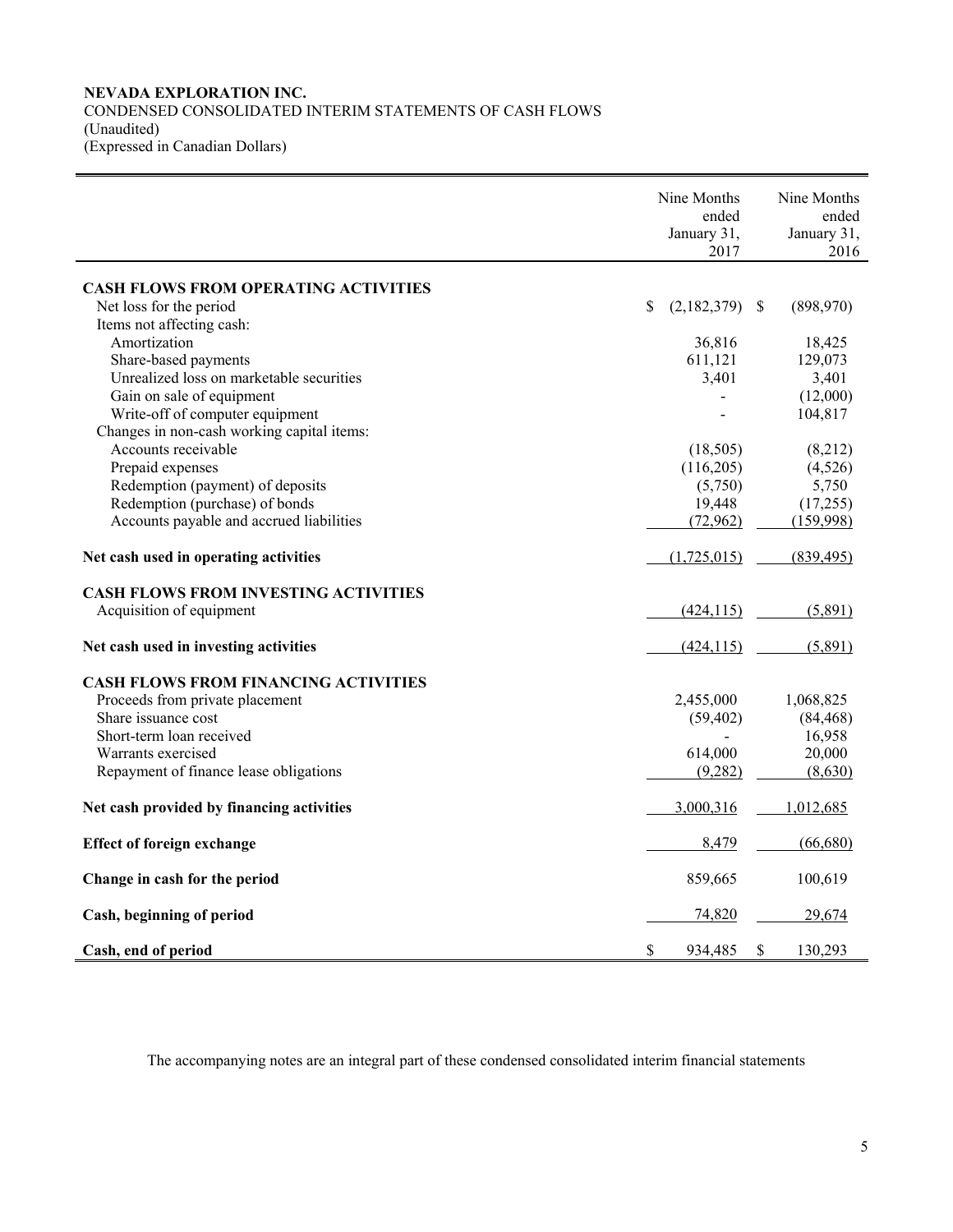# **NEVADA EXPLORATION INC.**  CONDENSED CONSOLIDATED INTERIM STATEMENTS OF CASH FLOWS (Unaudited) (Expressed in Canadian Dollars)

|                                             | Nine Months<br>ended<br>January 31,<br>2017 | Nine Months<br>ended<br>January 31,<br>2016 |
|---------------------------------------------|---------------------------------------------|---------------------------------------------|
| <b>CASH FLOWS FROM OPERATING ACTIVITIES</b> |                                             |                                             |
| Net loss for the period                     | \$<br>$(2,182,379)$ \$                      | (898,970)                                   |
| Items not affecting cash:                   |                                             |                                             |
| Amortization                                | 36,816                                      | 18,425                                      |
| Share-based payments                        | 611,121                                     | 129,073                                     |
| Unrealized loss on marketable securities    | 3,401                                       | 3,401                                       |
| Gain on sale of equipment                   |                                             | (12,000)                                    |
| Write-off of computer equipment             |                                             | 104,817                                     |
| Changes in non-cash working capital items:  |                                             |                                             |
| Accounts receivable                         | (18,505)                                    | (8,212)                                     |
| Prepaid expenses                            | (116,205)                                   | (4,526)                                     |
| Redemption (payment) of deposits            | (5,750)                                     | 5,750                                       |
| Redemption (purchase) of bonds              | 19,448                                      | (17,255)                                    |
| Accounts payable and accrued liabilities    | (72,962)                                    | (159,998)                                   |
| Net cash used in operating activities       | (1,725,015)                                 | (839, 495)                                  |
| <b>CASH FLOWS FROM INVESTING ACTIVITIES</b> |                                             |                                             |
| Acquisition of equipment                    | (424, 115)                                  | (5,891)                                     |
| Net cash used in investing activities       | (424, 115)                                  | (5,891)                                     |
| <b>CASH FLOWS FROM FINANCING ACTIVITIES</b> |                                             |                                             |
| Proceeds from private placement             | 2,455,000                                   | 1,068,825                                   |
| Share issuance cost                         | (59, 402)                                   | (84, 468)                                   |
| Short-term loan received                    |                                             | 16,958                                      |
| Warrants exercised                          | 614,000                                     | 20,000                                      |
| Repayment of finance lease obligations      | (9,282)                                     | (8,630)                                     |
| Net cash provided by financing activities   | 3,000,316                                   | 1,012,685                                   |
| <b>Effect of foreign exchange</b>           | 8,479                                       | (66,680)                                    |
| Change in cash for the period               | 859,665                                     | 100,619                                     |
| Cash, beginning of period                   | 74,820                                      | 29,674                                      |
| Cash, end of period                         | \$<br>934,485                               | \$<br>130,293                               |

The accompanying notes are an integral part of these condensed consolidated interim financial statements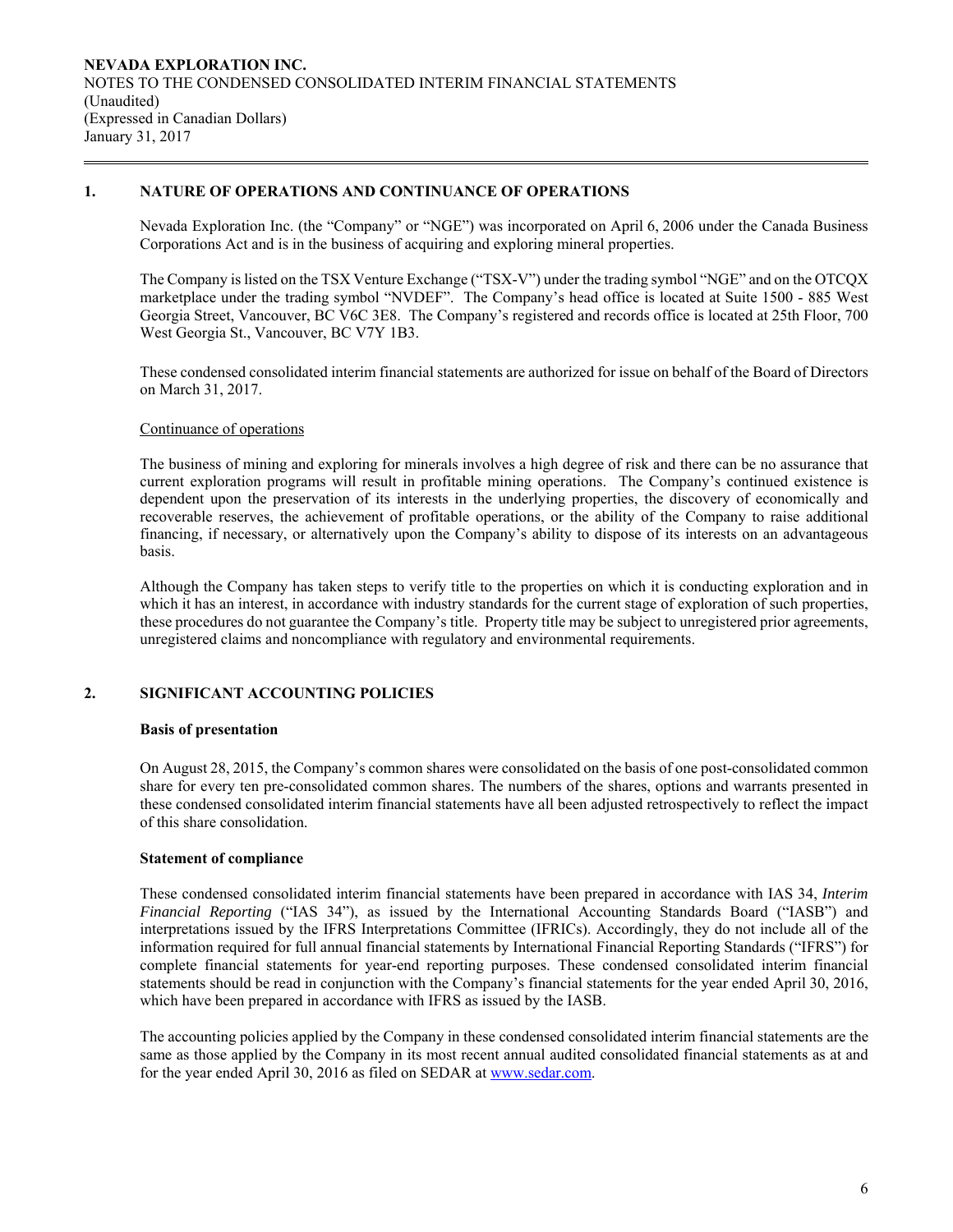# **1. NATURE OF OPERATIONS AND CONTINUANCE OF OPERATIONS**

Nevada Exploration Inc. (the "Company" or "NGE") was incorporated on April 6, 2006 under the Canada Business Corporations Act and is in the business of acquiring and exploring mineral properties.

The Company is listed on the TSX Venture Exchange ("TSX-V") under the trading symbol "NGE" and on the OTCQX marketplace under the trading symbol "NVDEF". The Company's head office is located at Suite 1500 - 885 West Georgia Street, Vancouver, BC V6C 3E8. The Company's registered and records office is located at 25th Floor, 700 West Georgia St., Vancouver, BC V7Y 1B3.

 These condensed consolidated interim financial statements are authorized for issue on behalf of the Board of Directors on March 31, 2017.

### Continuance of operations

The business of mining and exploring for minerals involves a high degree of risk and there can be no assurance that current exploration programs will result in profitable mining operations. The Company's continued existence is dependent upon the preservation of its interests in the underlying properties, the discovery of economically and recoverable reserves, the achievement of profitable operations, or the ability of the Company to raise additional financing, if necessary, or alternatively upon the Company's ability to dispose of its interests on an advantageous basis.

Although the Company has taken steps to verify title to the properties on which it is conducting exploration and in which it has an interest, in accordance with industry standards for the current stage of exploration of such properties, these procedures do not guarantee the Company's title. Property title may be subject to unregistered prior agreements, unregistered claims and noncompliance with regulatory and environmental requirements.

# **2. SIGNIFICANT ACCOUNTING POLICIES**

### **Basis of presentation**

On August 28, 2015, the Company's common shares were consolidated on the basis of one post-consolidated common share for every ten pre-consolidated common shares. The numbers of the shares, options and warrants presented in these condensed consolidated interim financial statements have all been adjusted retrospectively to reflect the impact of this share consolidation.

# **Statement of compliance**

 These condensed consolidated interim financial statements have been prepared in accordance with IAS 34, *Interim Financial Reporting* ("IAS 34"), as issued by the International Accounting Standards Board ("IASB") and interpretations issued by the IFRS Interpretations Committee (IFRICs). Accordingly, they do not include all of the information required for full annual financial statements by International Financial Reporting Standards ("IFRS") for complete financial statements for year-end reporting purposes. These condensed consolidated interim financial statements should be read in conjunction with the Company's financial statements for the year ended April 30, 2016, which have been prepared in accordance with IFRS as issued by the IASB.

 The accounting policies applied by the Company in these condensed consolidated interim financial statements are the same as those applied by the Company in its most recent annual audited consolidated financial statements as at and for the year ended April 30, 2016 as filed on SEDAR at www.sedar.com.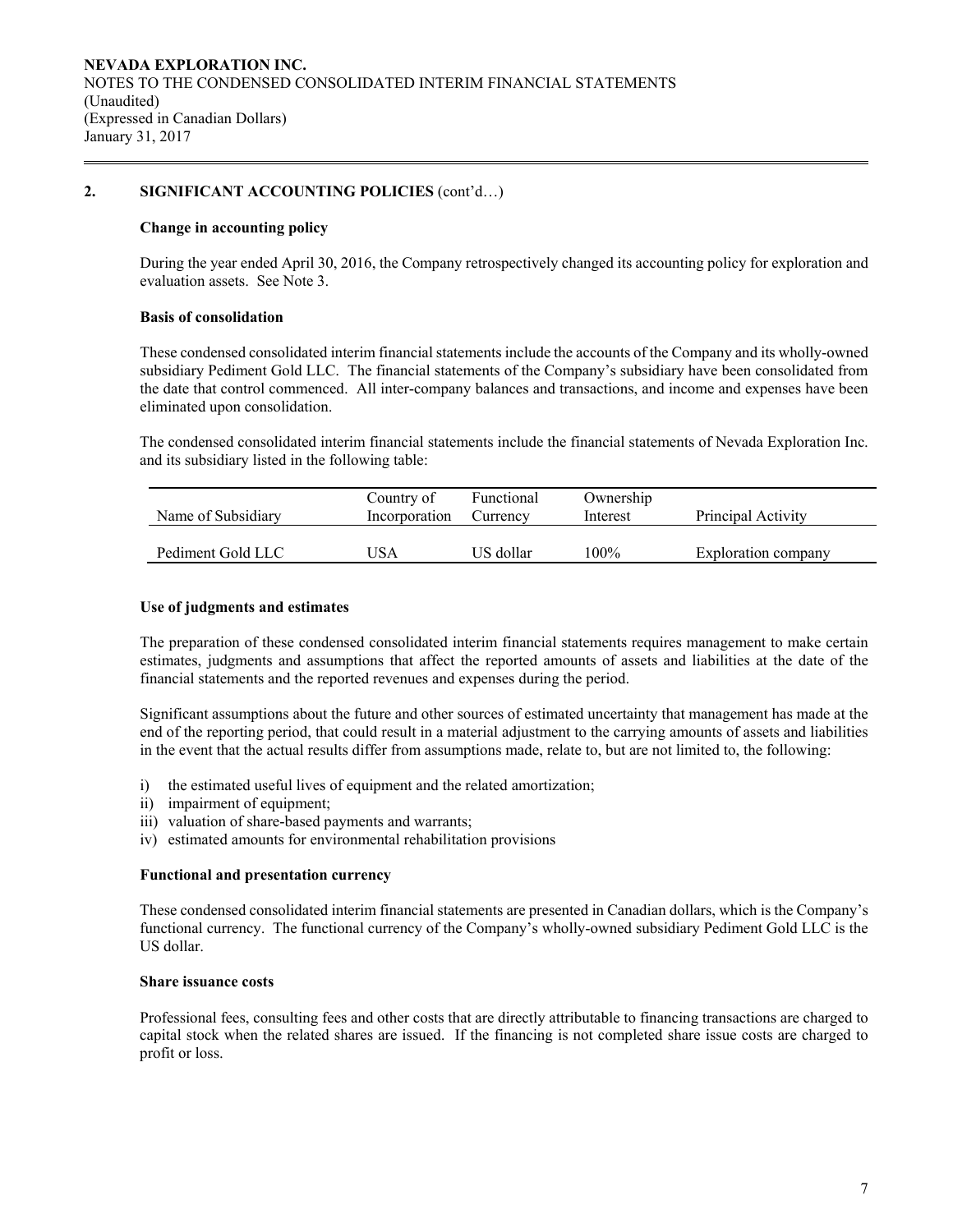# **2. SIGNIFICANT ACCOUNTING POLICIES** (cont'd…)

### **Change in accounting policy**

 During the year ended April 30, 2016, the Company retrospectively changed its accounting policy for exploration and evaluation assets. See Note 3.

### **Basis of consolidation**

 These condensed consolidated interim financial statements include the accounts of the Company and its wholly-owned subsidiary Pediment Gold LLC. The financial statements of the Company's subsidiary have been consolidated from the date that control commenced. All inter-company balances and transactions, and income and expenses have been eliminated upon consolidation.

The condensed consolidated interim financial statements include the financial statements of Nevada Exploration Inc. and its subsidiary listed in the following table:

| Name of Subsidiary | Country of<br>Incorporation | Functional<br>Currency | Ownership<br>Interest | Principal Activity  |
|--------------------|-----------------------------|------------------------|-----------------------|---------------------|
| Pediment Gold LLC  | JSA                         | US dollar              | $100\%$               | Exploration company |

### **Use of judgments and estimates**

The preparation of these condensed consolidated interim financial statements requires management to make certain estimates, judgments and assumptions that affect the reported amounts of assets and liabilities at the date of the financial statements and the reported revenues and expenses during the period.

 Significant assumptions about the future and other sources of estimated uncertainty that management has made at the end of the reporting period, that could result in a material adjustment to the carrying amounts of assets and liabilities in the event that the actual results differ from assumptions made, relate to, but are not limited to, the following:

- i) the estimated useful lives of equipment and the related amortization;
- ii) impairment of equipment;
- iii) valuation of share-based payments and warrants;
- iv) estimated amounts for environmental rehabilitation provisions

#### **Functional and presentation currency**

These condensed consolidated interim financial statements are presented in Canadian dollars, which is the Company's functional currency. The functional currency of the Company's wholly-owned subsidiary Pediment Gold LLC is the US dollar.

#### **Share issuance costs**

 Professional fees, consulting fees and other costs that are directly attributable to financing transactions are charged to capital stock when the related shares are issued. If the financing is not completed share issue costs are charged to profit or loss.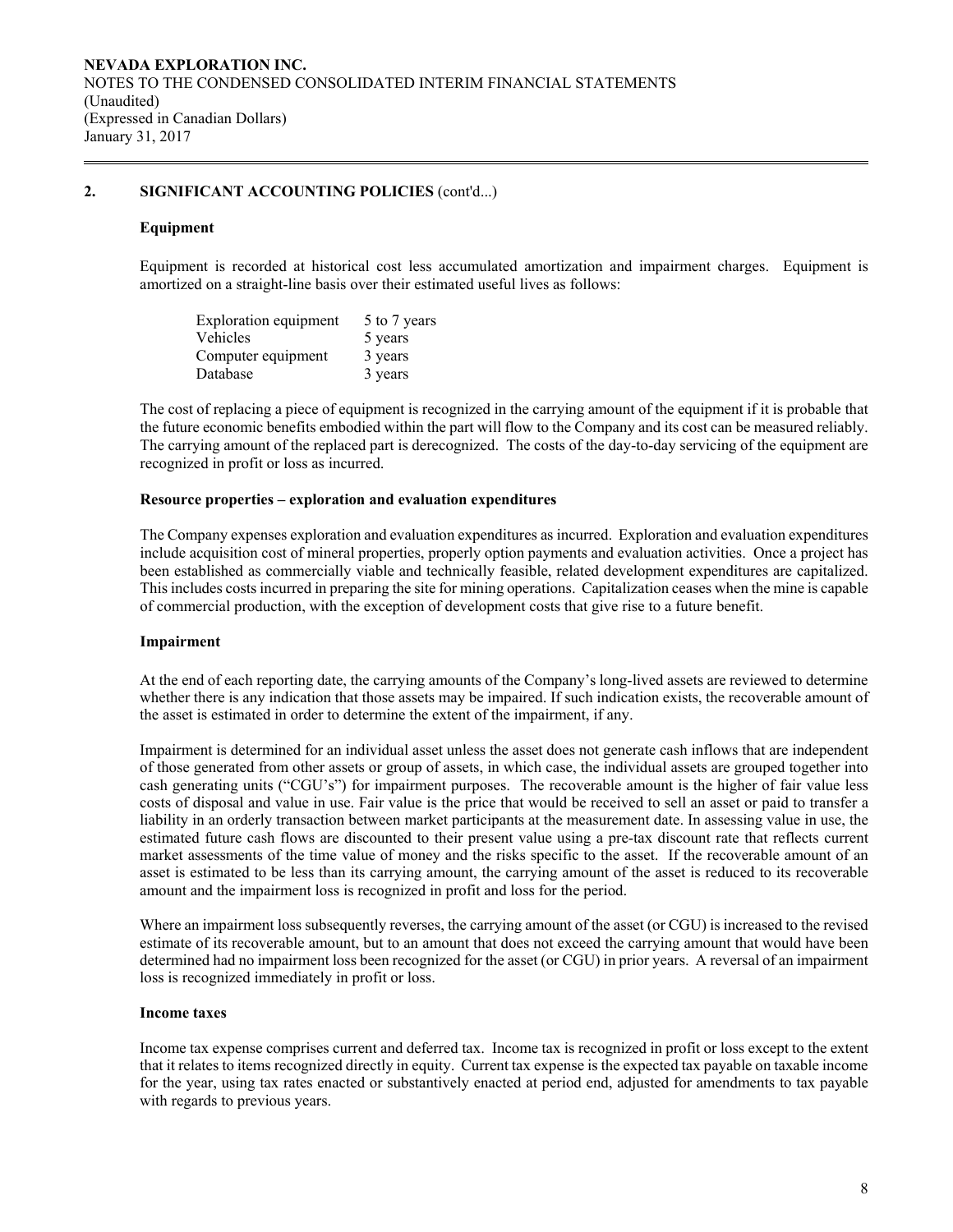# **2. SIGNIFICANT ACCOUNTING POLICIES** (cont'd...)

### **Equipment**

Equipment is recorded at historical cost less accumulated amortization and impairment charges. Equipment is amortized on a straight-line basis over their estimated useful lives as follows:

| <b>Exploration equipment</b> | 5 to 7 years |
|------------------------------|--------------|
| Vehicles                     | 5 years      |
| Computer equipment           | 3 years      |
| Database                     | 3 years      |

The cost of replacing a piece of equipment is recognized in the carrying amount of the equipment if it is probable that the future economic benefits embodied within the part will flow to the Company and its cost can be measured reliably. The carrying amount of the replaced part is derecognized. The costs of the day-to-day servicing of the equipment are recognized in profit or loss as incurred.

#### **Resource properties – exploration and evaluation expenditures**

 The Company expenses exploration and evaluation expenditures as incurred. Exploration and evaluation expenditures include acquisition cost of mineral properties, properly option payments and evaluation activities. Once a project has been established as commercially viable and technically feasible, related development expenditures are capitalized. This includes costs incurred in preparing the site for mining operations. Capitalization ceases when the mine is capable of commercial production, with the exception of development costs that give rise to a future benefit.

### **Impairment**

At the end of each reporting date, the carrying amounts of the Company's long-lived assets are reviewed to determine whether there is any indication that those assets may be impaired. If such indication exists, the recoverable amount of the asset is estimated in order to determine the extent of the impairment, if any.

Impairment is determined for an individual asset unless the asset does not generate cash inflows that are independent of those generated from other assets or group of assets, in which case, the individual assets are grouped together into cash generating units ("CGU's") for impairment purposes. The recoverable amount is the higher of fair value less costs of disposal and value in use. Fair value is the price that would be received to sell an asset or paid to transfer a liability in an orderly transaction between market participants at the measurement date. In assessing value in use, the estimated future cash flows are discounted to their present value using a pre-tax discount rate that reflects current market assessments of the time value of money and the risks specific to the asset. If the recoverable amount of an asset is estimated to be less than its carrying amount, the carrying amount of the asset is reduced to its recoverable amount and the impairment loss is recognized in profit and loss for the period.

Where an impairment loss subsequently reverses, the carrying amount of the asset (or CGU) is increased to the revised estimate of its recoverable amount, but to an amount that does not exceed the carrying amount that would have been determined had no impairment loss been recognized for the asset (or CGU) in prior years. A reversal of an impairment loss is recognized immediately in profit or loss.

#### **Income taxes**

Income tax expense comprises current and deferred tax. Income tax is recognized in profit or loss except to the extent that it relates to items recognized directly in equity. Current tax expense is the expected tax payable on taxable income for the year, using tax rates enacted or substantively enacted at period end, adjusted for amendments to tax payable with regards to previous years.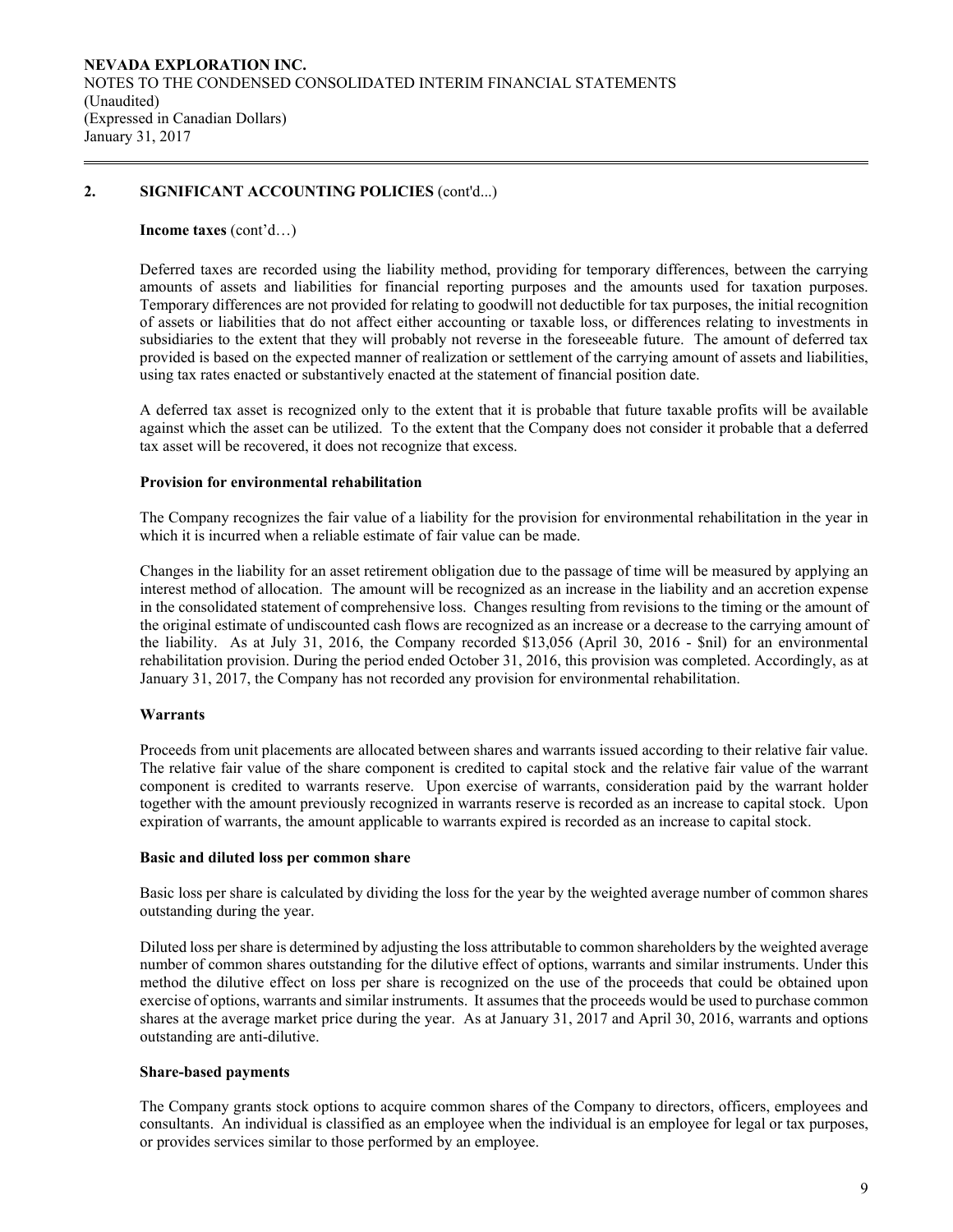# **2. SIGNIFICANT ACCOUNTING POLICIES** (cont'd...)

#### **Income taxes** (cont'd…)

Deferred taxes are recorded using the liability method, providing for temporary differences, between the carrying amounts of assets and liabilities for financial reporting purposes and the amounts used for taxation purposes. Temporary differences are not provided for relating to goodwill not deductible for tax purposes, the initial recognition of assets or liabilities that do not affect either accounting or taxable loss, or differences relating to investments in subsidiaries to the extent that they will probably not reverse in the foreseeable future. The amount of deferred tax provided is based on the expected manner of realization or settlement of the carrying amount of assets and liabilities, using tax rates enacted or substantively enacted at the statement of financial position date.

A deferred tax asset is recognized only to the extent that it is probable that future taxable profits will be available against which the asset can be utilized. To the extent that the Company does not consider it probable that a deferred tax asset will be recovered, it does not recognize that excess.

### **Provision for environmental rehabilitation**

The Company recognizes the fair value of a liability for the provision for environmental rehabilitation in the year in which it is incurred when a reliable estimate of fair value can be made.

Changes in the liability for an asset retirement obligation due to the passage of time will be measured by applying an interest method of allocation. The amount will be recognized as an increase in the liability and an accretion expense in the consolidated statement of comprehensive loss. Changes resulting from revisions to the timing or the amount of the original estimate of undiscounted cash flows are recognized as an increase or a decrease to the carrying amount of the liability. As at July 31, 2016, the Company recorded \$13,056 (April 30, 2016 - \$nil) for an environmental rehabilitation provision. During the period ended October 31, 2016, this provision was completed. Accordingly, as at January 31, 2017, the Company has not recorded any provision for environmental rehabilitation.

### **Warrants**

Proceeds from unit placements are allocated between shares and warrants issued according to their relative fair value. The relative fair value of the share component is credited to capital stock and the relative fair value of the warrant component is credited to warrants reserve. Upon exercise of warrants, consideration paid by the warrant holder together with the amount previously recognized in warrants reserve is recorded as an increase to capital stock. Upon expiration of warrants, the amount applicable to warrants expired is recorded as an increase to capital stock.

### **Basic and diluted loss per common share**

Basic loss per share is calculated by dividing the loss for the year by the weighted average number of common shares outstanding during the year.

 Diluted loss per share is determined by adjusting the loss attributable to common shareholders by the weighted average number of common shares outstanding for the dilutive effect of options, warrants and similar instruments. Under this method the dilutive effect on loss per share is recognized on the use of the proceeds that could be obtained upon exercise of options, warrants and similar instruments. It assumes that the proceeds would be used to purchase common shares at the average market price during the year. As at January 31, 2017 and April 30, 2016, warrants and options outstanding are anti-dilutive.

### **Share-based payments**

The Company grants stock options to acquire common shares of the Company to directors, officers, employees and consultants. An individual is classified as an employee when the individual is an employee for legal or tax purposes, or provides services similar to those performed by an employee.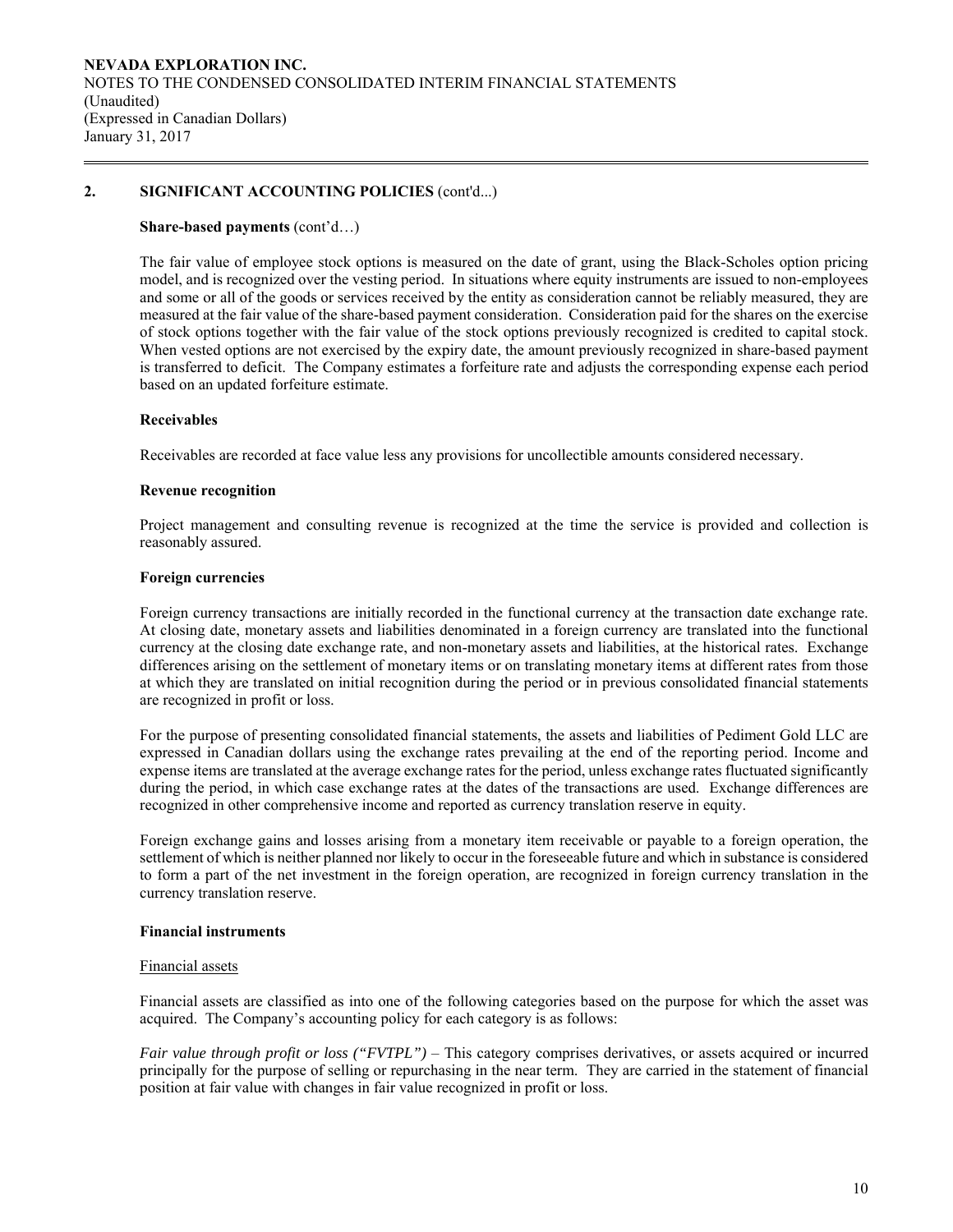# **2. SIGNIFICANT ACCOUNTING POLICIES** (cont'd...)

### **Share-based payments** (cont'd…)

The fair value of employee stock options is measured on the date of grant, using the Black-Scholes option pricing model, and is recognized over the vesting period. In situations where equity instruments are issued to non-employees and some or all of the goods or services received by the entity as consideration cannot be reliably measured, they are measured at the fair value of the share-based payment consideration. Consideration paid for the shares on the exercise of stock options together with the fair value of the stock options previously recognized is credited to capital stock. When vested options are not exercised by the expiry date, the amount previously recognized in share-based payment is transferred to deficit. The Company estimates a forfeiture rate and adjusts the corresponding expense each period based on an updated forfeiture estimate.

### **Receivables**

Receivables are recorded at face value less any provisions for uncollectible amounts considered necessary.

### **Revenue recognition**

Project management and consulting revenue is recognized at the time the service is provided and collection is reasonably assured.

### **Foreign currencies**

 Foreign currency transactions are initially recorded in the functional currency at the transaction date exchange rate. At closing date, monetary assets and liabilities denominated in a foreign currency are translated into the functional currency at the closing date exchange rate, and non-monetary assets and liabilities, at the historical rates. Exchange differences arising on the settlement of monetary items or on translating monetary items at different rates from those at which they are translated on initial recognition during the period or in previous consolidated financial statements are recognized in profit or loss.

For the purpose of presenting consolidated financial statements, the assets and liabilities of Pediment Gold LLC are expressed in Canadian dollars using the exchange rates prevailing at the end of the reporting period. Income and expense items are translated at the average exchange rates for the period, unless exchange rates fluctuated significantly during the period, in which case exchange rates at the dates of the transactions are used. Exchange differences are recognized in other comprehensive income and reported as currency translation reserve in equity.

 Foreign exchange gains and losses arising from a monetary item receivable or payable to a foreign operation, the settlement of which is neither planned nor likely to occur in the foreseeable future and which in substance is considered to form a part of the net investment in the foreign operation, are recognized in foreign currency translation in the currency translation reserve.

### **Financial instruments**

### Financial assets

Financial assets are classified as into one of the following categories based on the purpose for which the asset was acquired. The Company's accounting policy for each category is as follows:

*Fair value through profit or loss ("FVTPL")* – This category comprises derivatives, or assets acquired or incurred principally for the purpose of selling or repurchasing in the near term. They are carried in the statement of financial position at fair value with changes in fair value recognized in profit or loss.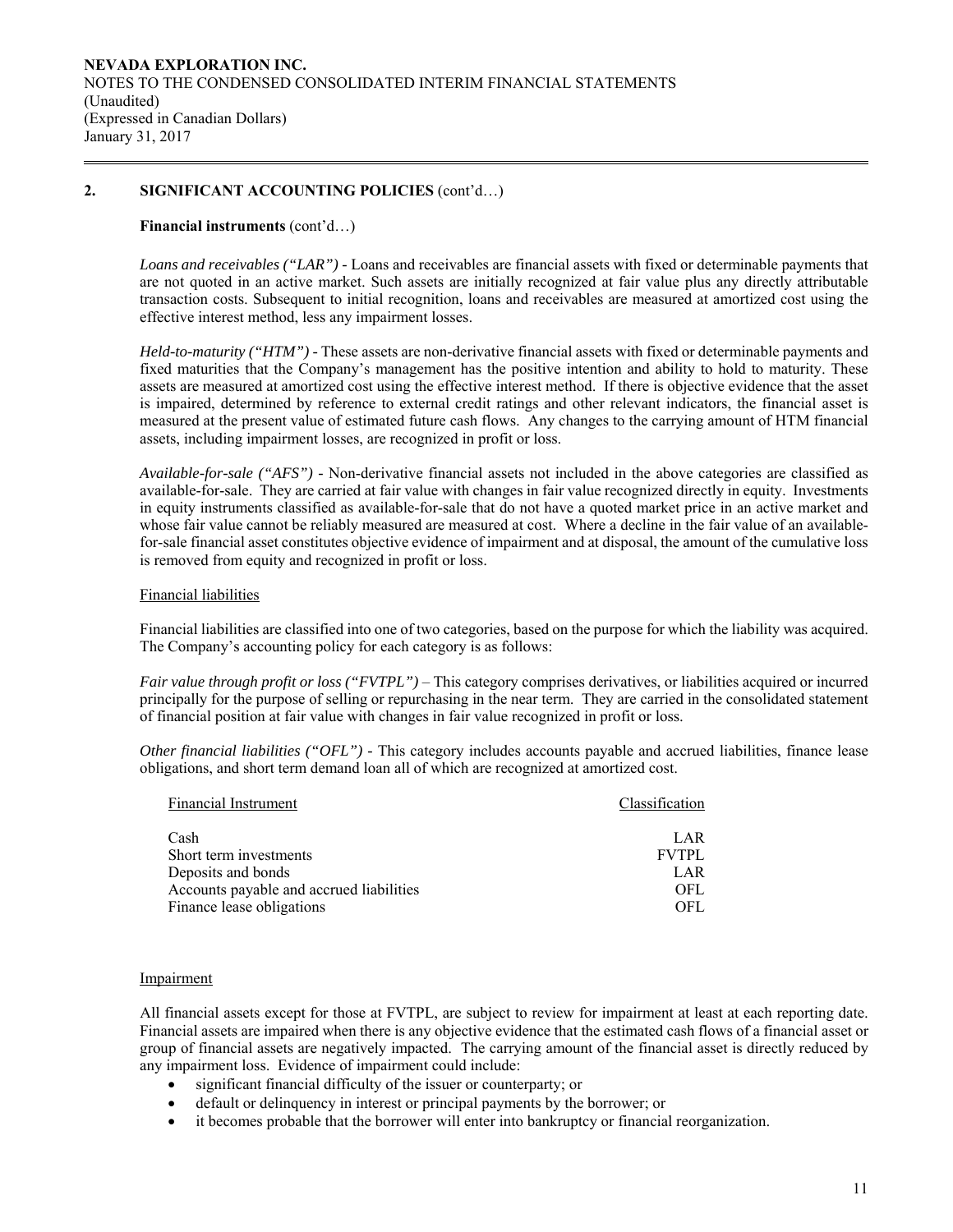# **2. SIGNIFICANT ACCOUNTING POLICIES** (cont'd…)

### **Financial instruments** (cont'd…)

*Loans and receivables ("LAR") -* Loans and receivables are financial assets with fixed or determinable payments that are not quoted in an active market. Such assets are initially recognized at fair value plus any directly attributable transaction costs. Subsequent to initial recognition, loans and receivables are measured at amortized cost using the effective interest method, less any impairment losses.

*Held-to-maturity ("HTM") -* These assets are non-derivative financial assets with fixed or determinable payments and fixed maturities that the Company's management has the positive intention and ability to hold to maturity. These assets are measured at amortized cost using the effective interest method. If there is objective evidence that the asset is impaired, determined by reference to external credit ratings and other relevant indicators, the financial asset is measured at the present value of estimated future cash flows. Any changes to the carrying amount of HTM financial assets, including impairment losses, are recognized in profit or loss.

*Available-for-sale ("AFS") -* Non-derivative financial assets not included in the above categories are classified as available-for-sale. They are carried at fair value with changes in fair value recognized directly in equity. Investments in equity instruments classified as available-for-sale that do not have a quoted market price in an active market and whose fair value cannot be reliably measured are measured at cost. Where a decline in the fair value of an availablefor-sale financial asset constitutes objective evidence of impairment and at disposal, the amount of the cumulative loss is removed from equity and recognized in profit or loss.

### Financial liabilities

Financial liabilities are classified into one of two categories, based on the purpose for which the liability was acquired. The Company's accounting policy for each category is as follows:

*Fair value through profit or loss ("FVTPL")* – This category comprises derivatives, or liabilities acquired or incurred principally for the purpose of selling or repurchasing in the near term. They are carried in the consolidated statement of financial position at fair value with changes in fair value recognized in profit or loss.

*Other financial liabilities ("OFL") -* This category includes accounts payable and accrued liabilities, finance lease obligations, and short term demand loan all of which are recognized at amortized cost.

| <b>Financial Instrument</b>              | Classification |
|------------------------------------------|----------------|
| Cash                                     | LAR            |
| Short term investments                   | <b>FVTPL</b>   |
| Deposits and bonds                       | LAR            |
| Accounts payable and accrued liabilities | OFL.           |
| Finance lease obligations                | OFL.           |

### Impairment

All financial assets except for those at FVTPL, are subject to review for impairment at least at each reporting date. Financial assets are impaired when there is any objective evidence that the estimated cash flows of a financial asset or group of financial assets are negatively impacted. The carrying amount of the financial asset is directly reduced by any impairment loss. Evidence of impairment could include:

- significant financial difficulty of the issuer or counterparty; or
- default or delinquency in interest or principal payments by the borrower; or
- it becomes probable that the borrower will enter into bankruptcy or financial reorganization.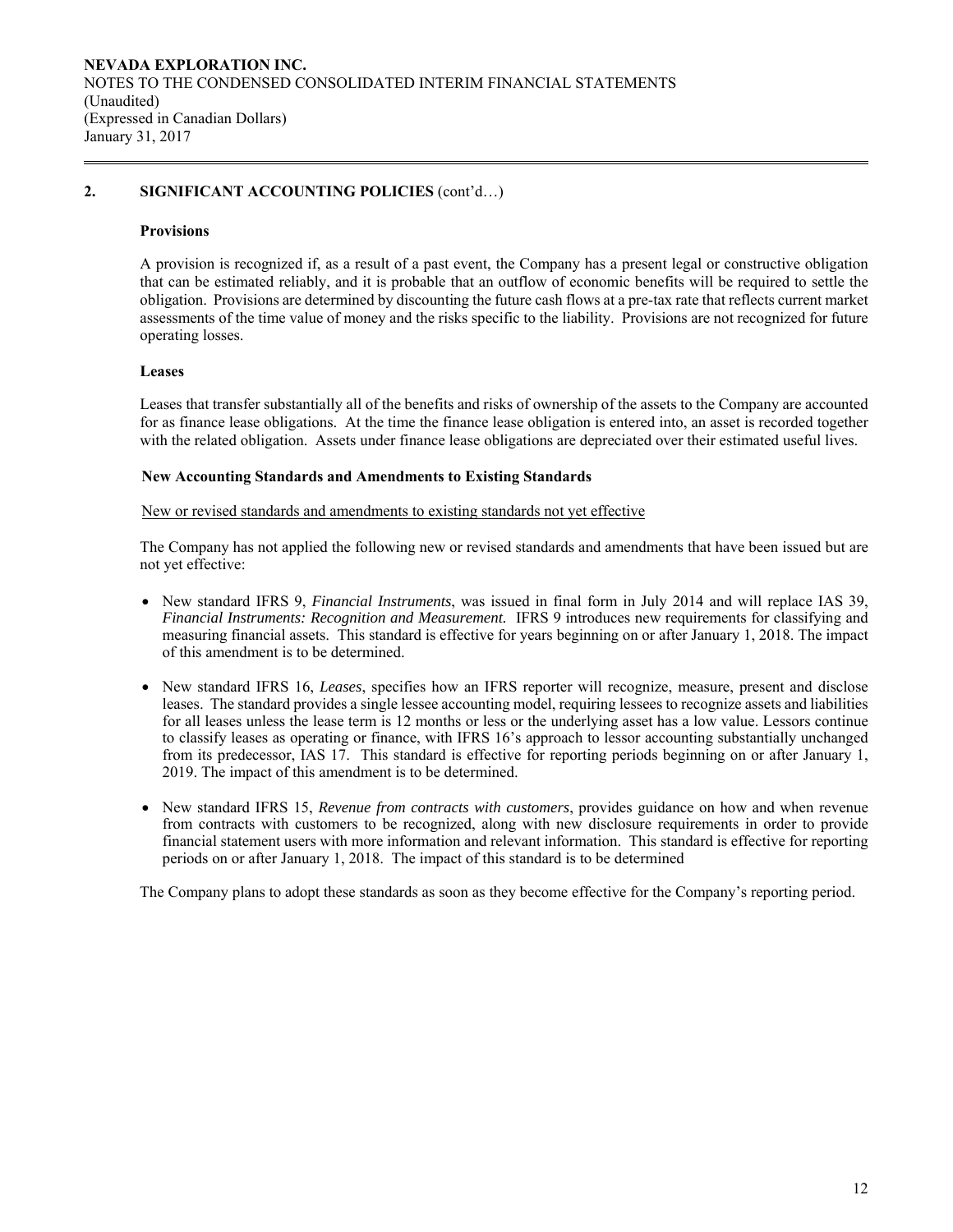# **2. SIGNIFICANT ACCOUNTING POLICIES** (cont'd…)

### **Provisions**

A provision is recognized if, as a result of a past event, the Company has a present legal or constructive obligation that can be estimated reliably, and it is probable that an outflow of economic benefits will be required to settle the obligation. Provisions are determined by discounting the future cash flows at a pre-tax rate that reflects current market assessments of the time value of money and the risks specific to the liability. Provisions are not recognized for future operating losses.

# **Leases**

Leases that transfer substantially all of the benefits and risks of ownership of the assets to the Company are accounted for as finance lease obligations. At the time the finance lease obligation is entered into, an asset is recorded together with the related obligation. Assets under finance lease obligations are depreciated over their estimated useful lives.

### **New Accounting Standards and Amendments to Existing Standards**

### New or revised standards and amendments to existing standards not yet effective

 The Company has not applied the following new or revised standards and amendments that have been issued but are not yet effective:

- New standard IFRS 9, *Financial Instruments*, was issued in final form in July 2014 and will replace IAS 39, *Financial Instruments: Recognition and Measurement.* IFRS 9 introduces new requirements for classifying and measuring financial assets. This standard is effective for years beginning on or after January 1, 2018. The impact of this amendment is to be determined.
- New standard IFRS 16, *Leases*, specifies how an IFRS reporter will recognize, measure, present and disclose leases. The standard provides a single lessee accounting model, requiring lessees to recognize assets and liabilities for all leases unless the lease term is 12 months or less or the underlying asset has a low value. Lessors continue to classify leases as operating or finance, with IFRS 16's approach to lessor accounting substantially unchanged from its predecessor, IAS 17. This standard is effective for reporting periods beginning on or after January 1, 2019. The impact of this amendment is to be determined.
- New standard IFRS 15, *Revenue from contracts with customers*, provides guidance on how and when revenue from contracts with customers to be recognized, along with new disclosure requirements in order to provide financial statement users with more information and relevant information. This standard is effective for reporting periods on or after January 1, 2018. The impact of this standard is to be determined

The Company plans to adopt these standards as soon as they become effective for the Company's reporting period.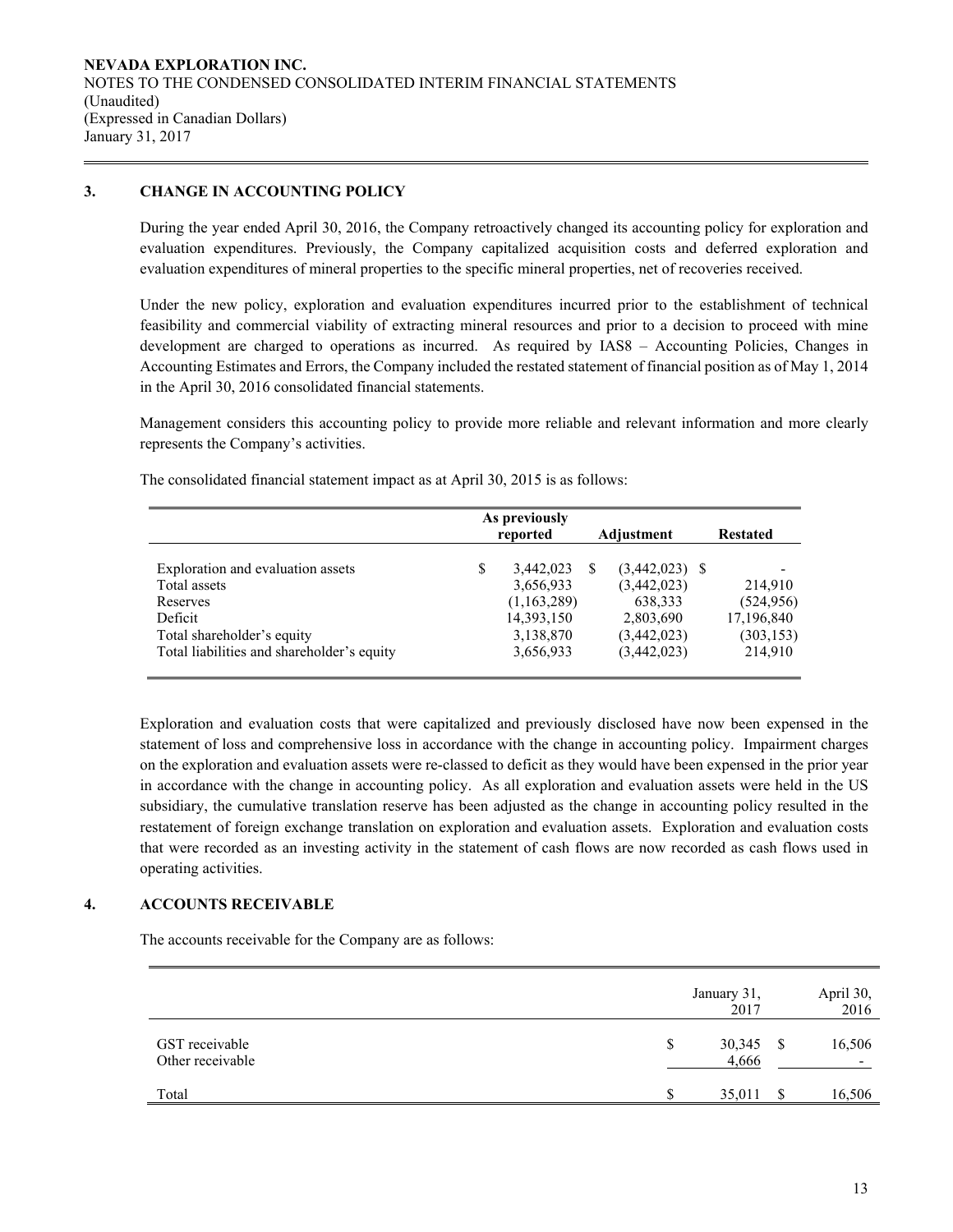# **3. CHANGE IN ACCOUNTING POLICY**

During the year ended April 30, 2016, the Company retroactively changed its accounting policy for exploration and evaluation expenditures. Previously, the Company capitalized acquisition costs and deferred exploration and evaluation expenditures of mineral properties to the specific mineral properties, net of recoveries received.

Under the new policy, exploration and evaluation expenditures incurred prior to the establishment of technical feasibility and commercial viability of extracting mineral resources and prior to a decision to proceed with mine development are charged to operations as incurred. As required by IAS8 – Accounting Policies, Changes in Accounting Estimates and Errors, the Company included the restated statement of financial position as of May 1, 2014 in the April 30, 2016 consolidated financial statements.

Management considers this accounting policy to provide more reliable and relevant information and more clearly represents the Company's activities.

|                                            | As previously<br>reported | <b>Restated</b>        |                       |  |  |
|--------------------------------------------|---------------------------|------------------------|-----------------------|--|--|
| Exploration and evaluation assets          | \$<br>3,442,023           | (3,442,023)            |                       |  |  |
| Total assets<br>Reserves                   | 3,656,933<br>(1,163,289)  | (3,442,023)<br>638,333 | 214,910<br>(524, 956) |  |  |
| Deficit                                    | 14,393,150                | 2,803,690              | 17,196,840            |  |  |
| Total shareholder's equity                 | 3,138,870                 | (3,442,023)            | (303, 153)            |  |  |
| Total liabilities and shareholder's equity | 3,656,933                 | (3,442,023)            | 214,910               |  |  |

The consolidated financial statement impact as at April 30, 2015 is as follows:

Exploration and evaluation costs that were capitalized and previously disclosed have now been expensed in the statement of loss and comprehensive loss in accordance with the change in accounting policy. Impairment charges on the exploration and evaluation assets were re-classed to deficit as they would have been expensed in the prior year in accordance with the change in accounting policy. As all exploration and evaluation assets were held in the US subsidiary, the cumulative translation reserve has been adjusted as the change in accounting policy resulted in the restatement of foreign exchange translation on exploration and evaluation assets. Exploration and evaluation costs that were recorded as an investing activity in the statement of cash flows are now recorded as cash flows used in operating activities.

# **4. ACCOUNTS RECEIVABLE**

The accounts receivable for the Company are as follows:

|                                    |    | January 31,<br>2017 |     | April 30,<br>2016 |
|------------------------------------|----|---------------------|-----|-------------------|
| GST receivable<br>Other receivable | \$ | 30,345<br>4,666     | - S | 16,506            |
| Total                              | S  | 35,011              |     | 16,506            |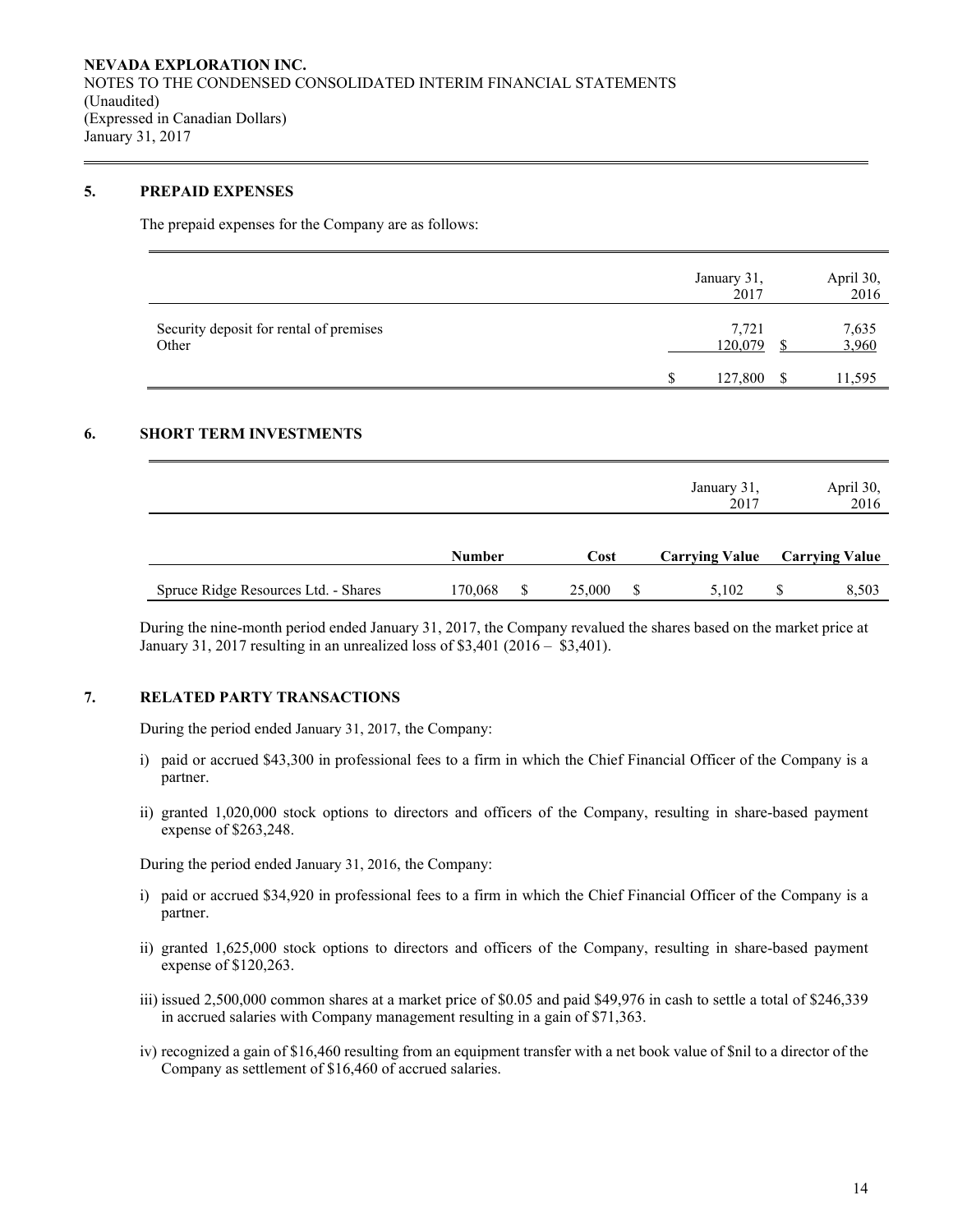## **5. PREPAID EXPENSES**

The prepaid expenses for the Company are as follows:

|                                                  | January 31,<br>2017 |   | April 30,<br>2016 |
|--------------------------------------------------|---------------------|---|-------------------|
| Security deposit for rental of premises<br>Other | 7,721<br>120,079    |   | 7,635<br>3,960    |
|                                                  | 127,800             | S | 11,595            |

# **6. SHORT TERM INVESTMENTS**

|                                      |               |   |        |   | January 31,<br>2017   | April 30,<br>2016     |
|--------------------------------------|---------------|---|--------|---|-----------------------|-----------------------|
|                                      | <b>Number</b> |   | Cost   |   | <b>Carrying Value</b> | <b>Carrying Value</b> |
| Spruce Ridge Resources Ltd. - Shares | 170,068       | S | 25,000 | S | 5,102                 | 8,503                 |

During the nine-month period ended January 31, 2017, the Company revalued the shares based on the market price at January 31, 2017 resulting in an unrealized loss of \$3,401 (2016 – \$3,401).

### **7. RELATED PARTY TRANSACTIONS**

During the period ended January 31, 2017, the Company:

- i) paid or accrued \$43,300 in professional fees to a firm in which the Chief Financial Officer of the Company is a partner.
- ii) granted 1,020,000 stock options to directors and officers of the Company, resulting in share-based payment expense of \$263,248.

During the period ended January 31, 2016, the Company:

- i) paid or accrued \$34,920 in professional fees to a firm in which the Chief Financial Officer of the Company is a partner.
- ii) granted 1,625,000 stock options to directors and officers of the Company, resulting in share-based payment expense of \$120,263.
- iii) issued 2,500,000 common shares at a market price of \$0.05 and paid \$49,976 in cash to settle a total of \$246,339 in accrued salaries with Company management resulting in a gain of \$71,363.
- iv) recognized a gain of \$16,460 resulting from an equipment transfer with a net book value of \$nil to a director of the Company as settlement of \$16,460 of accrued salaries.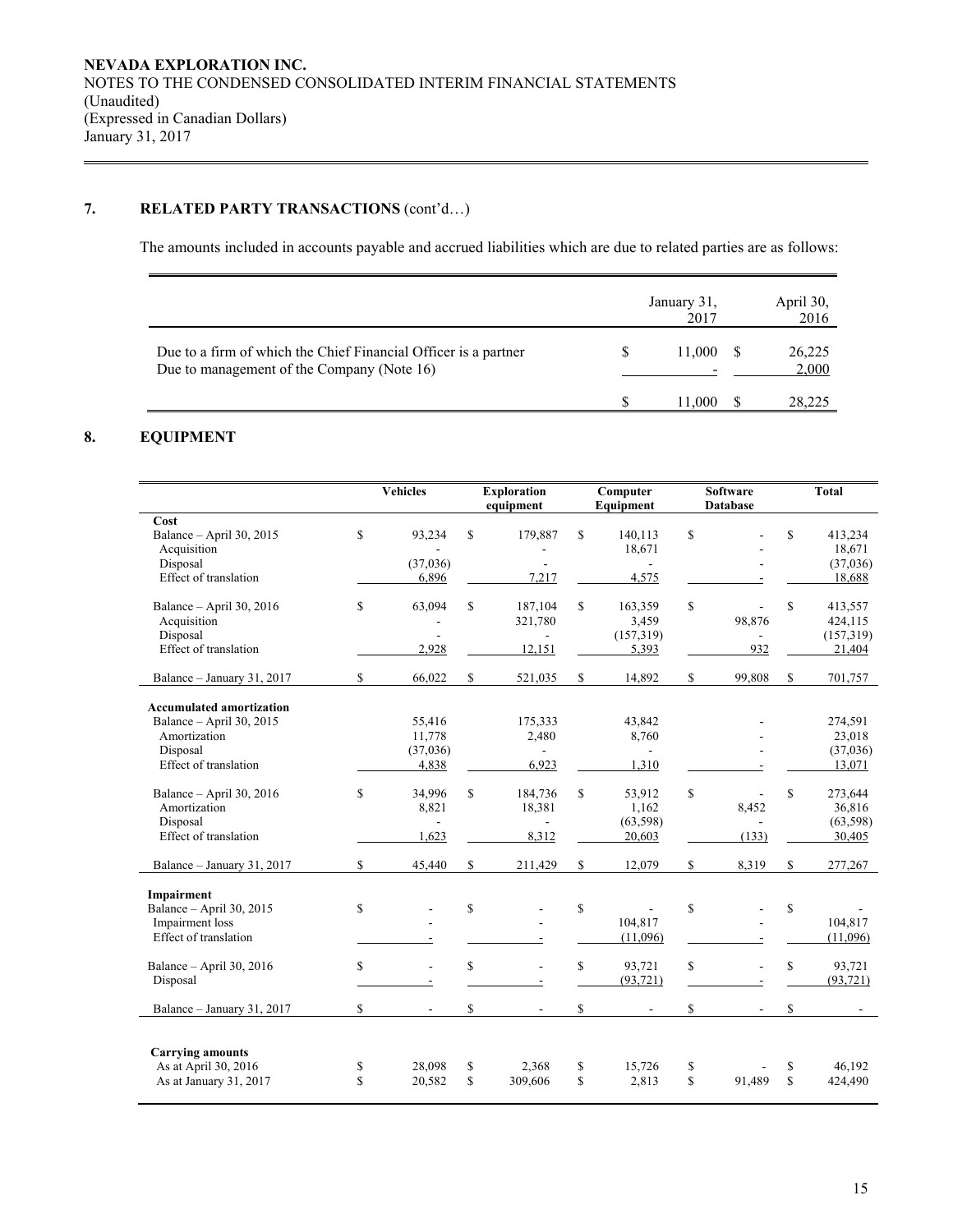# **7. RELATED PARTY TRANSACTIONS** (cont'd…)

The amounts included in accounts payable and accrued liabilities which are due to related parties are as follows:

|                                                                                                               | January 31,<br>2017 | April 30,<br>2016 |
|---------------------------------------------------------------------------------------------------------------|---------------------|-------------------|
| Due to a firm of which the Chief Financial Officer is a partner<br>Due to management of the Company (Note 16) | 11.000              | 26,225<br>2,000   |
|                                                                                                               | 11.000              | 28,225            |

# **8. EQUIPMENT**

|                                 |             | <b>Vehicles</b> |              | <b>Exploration</b><br>equipment | Computer<br>Equipment | <b>Software</b><br><b>Database</b> |             | <b>Total</b> |
|---------------------------------|-------------|-----------------|--------------|---------------------------------|-----------------------|------------------------------------|-------------|--------------|
| Cost                            |             |                 |              |                                 |                       |                                    |             |              |
| Balance - April 30, 2015        | \$          | 93,234          | \$           | 179,887                         | \$<br>140,113         | \$                                 | \$          | 413,234      |
| Acquisition                     |             |                 |              |                                 | 18,671                |                                    |             | 18,671       |
| Disposal                        |             | (37,036)        |              | ÷,                              | $\sim$                |                                    |             | (37,036)     |
| Effect of translation           |             | 6,896           |              | 7,217                           | 4,575                 |                                    |             | 18,688       |
| Balance - April 30, 2016        | \$          | 63,094          | \$           | 187,104                         | \$<br>163,359         | \$<br>÷.                           | \$          | 413,557      |
| Acquisition                     |             |                 |              | 321,780                         | 3,459                 | 98,876                             |             | 424,115      |
| Disposal                        |             |                 |              |                                 | (157,319)             |                                    |             | (157,319)    |
| Effect of translation           |             | 2,928           |              | 12,151                          | 5,393                 | 932                                |             | 21,404       |
| Balance - January 31, 2017      | \$          | 66,022          | \$           | 521,035                         | \$<br>14,892          | \$<br>99,808                       | \$          | 701,757      |
| <b>Accumulated amortization</b> |             |                 |              |                                 |                       |                                    |             |              |
| Balance - April 30, 2015        |             | 55,416          |              | 175,333                         | 43,842                |                                    |             | 274,591      |
| Amortization                    |             | 11,778          |              | 2,480                           | 8,760                 |                                    |             | 23,018       |
| Disposal                        |             | (37,036)        |              | $\sim$                          | $\sim$                |                                    |             | (37,036)     |
| Effect of translation           |             | 4,838           |              | 6,923                           | 1,310                 |                                    |             | 13,071       |
| Balance - April 30, 2016        | \$          | 34,996          | \$           | 184,736                         | \$<br>53,912          | \$<br>ä,                           | \$          | 273,644      |
| Amortization                    |             | 8,821           |              | 18,381                          | 1,162                 | 8,452                              |             | 36,816       |
| Disposal                        |             | $\sim$          |              |                                 | (63, 598)             |                                    |             | (63, 598)    |
| Effect of translation           |             | 1,623           |              | 8,312                           | 20,603                | (133)                              |             | 30,405       |
| Balance - January 31, 2017      | \$          | 45,440          | \$           | 211,429                         | \$<br>12,079          | \$<br>8,319                        | \$          | 277,267      |
| Impairment                      |             |                 |              |                                 |                       |                                    |             |              |
| Balance - April 30, 2015        | \$          |                 | $\mathbb{S}$ |                                 | \$                    | \$                                 | \$          |              |
| Impairment loss                 |             |                 |              |                                 | 104,817               |                                    |             | 104,817      |
| Effect of translation           |             |                 |              |                                 | (11,096)              |                                    |             | (11,096)     |
|                                 |             |                 |              |                                 |                       |                                    |             |              |
| Balance - April 30, 2016        | \$          | L,              | $\mathbb{S}$ |                                 | \$<br>93,721          | \$<br>÷,                           | \$          | 93,721       |
| Disposal                        |             |                 |              |                                 | (93, 721)             |                                    |             | (93, 721)    |
| Balance - January 31, 2017      | \$          | $\blacksquare$  | \$           | $\sim$                          | \$<br>$\mathbf{r}$    | \$<br>$\overline{\phantom{a}}$     | \$          |              |
| <b>Carrying amounts</b>         |             |                 |              |                                 |                       |                                    |             |              |
| As at April 30, 2016            | \$          | 28,098          | \$           | 2,368                           | \$<br>15,726          | \$                                 | \$          | 46.192       |
| As at January 31, 2017          | $\mathbf S$ | 20,582          | \$           | 309,606                         | \$<br>2,813           | \$<br>91,489                       | $\mathbf S$ | 424,490      |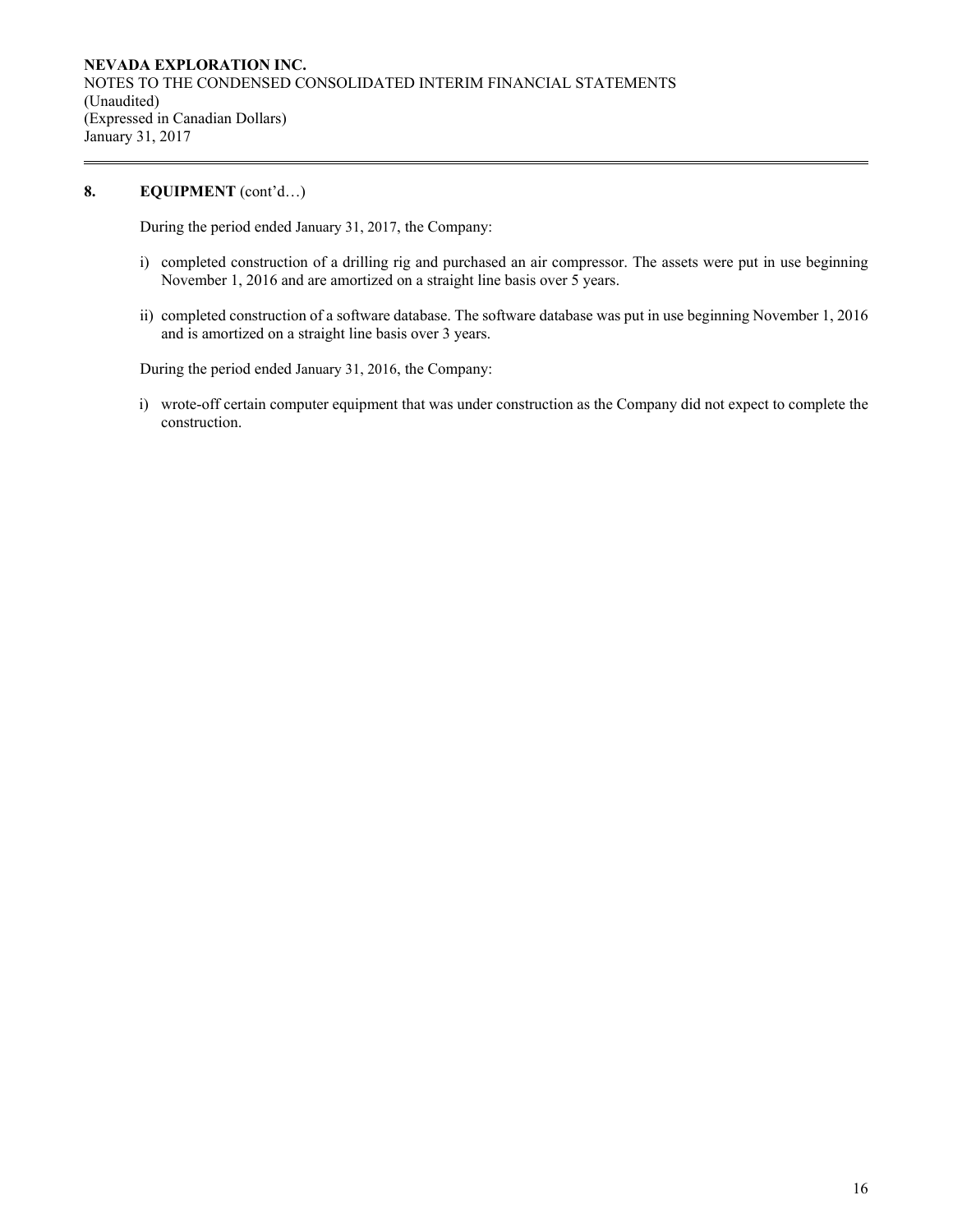# 8. **EQUIPMENT** (cont'd...)

During the period ended January 31, 2017, the Company:

- i) completed construction of a drilling rig and purchased an air compressor. The assets were put in use beginning November 1, 2016 and are amortized on a straight line basis over 5 years.
- ii) completed construction of a software database. The software database was put in use beginning November 1, 2016 and is amortized on a straight line basis over 3 years.

During the period ended January 31, 2016, the Company:

i) wrote-off certain computer equipment that was under construction as the Company did not expect to complete the construction.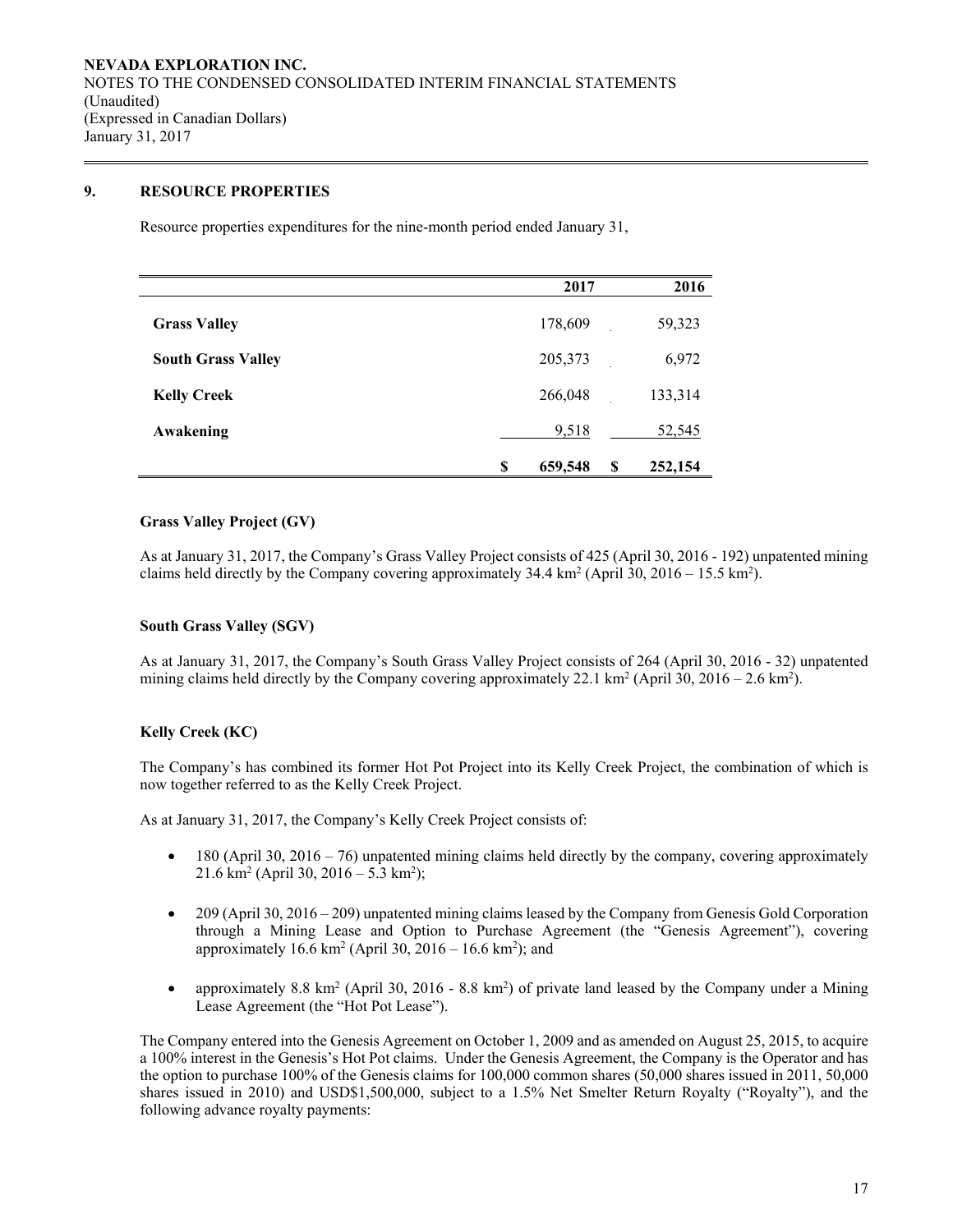# **9. RESOURCE PROPERTIES**

Resource properties expenditures for the nine-month period ended January 31,

|                           | 2017               | 2016    |
|---------------------------|--------------------|---------|
| <b>Grass Valley</b>       | 178,609            | 59,323  |
| <b>South Grass Valley</b> | 205,373            | 6,972   |
| <b>Kelly Creek</b>        | 266,048            | 133,314 |
| Awakening                 | 9,518              | 52,545  |
|                           | 659,548<br>\$<br>S | 252,154 |

# **Grass Valley Project (GV)**

As at January 31, 2017, the Company's Grass Valley Project consists of 425 (April 30, 2016 - 192) unpatented mining claims held directly by the Company covering approximately 34.4 km<sup>2</sup> (April 30, 2016 – 15.5 km<sup>2</sup>).

### **South Grass Valley (SGV)**

As at January 31, 2017, the Company's South Grass Valley Project consists of 264 (April 30, 2016 - 32) unpatented mining claims held directly by the Company covering approximately 22.1 km<sup>2</sup> (April 30, 2016 – 2.6 km<sup>2</sup>).

# **Kelly Creek (KC)**

The Company's has combined its former Hot Pot Project into its Kelly Creek Project, the combination of which is now together referred to as the Kelly Creek Project.

As at January 31, 2017, the Company's Kelly Creek Project consists of:

- $\bullet$  180 (April 30, 2016 76) unpatented mining claims held directly by the company, covering approximately  $21.6 \text{ km}^2 \text{ (April 30, } 2016 - 5.3 \text{ km}^2\text{);}$
- 209 (April 30, 2016 209) unpatented mining claims leased by the Company from Genesis Gold Corporation through a Mining Lease and Option to Purchase Agreement (the "Genesis Agreement"), covering approximately  $16.6 \text{ km}^2$  (April 30,  $2016 - 16.6 \text{ km}^2$ ); and
- approximately 8.8 km<sup>2</sup> (April 30, 2016 8.8 km<sup>2</sup>) of private land leased by the Company under a Mining Lease Agreement (the "Hot Pot Lease").

The Company entered into the Genesis Agreement on October 1, 2009 and as amended on August 25, 2015, to acquire a 100% interest in the Genesis's Hot Pot claims. Under the Genesis Agreement, the Company is the Operator and has the option to purchase 100% of the Genesis claims for 100,000 common shares (50,000 shares issued in 2011, 50,000 shares issued in 2010) and USD\$1,500,000, subject to a 1.5% Net Smelter Return Royalty ("Royalty"), and the following advance royalty payments: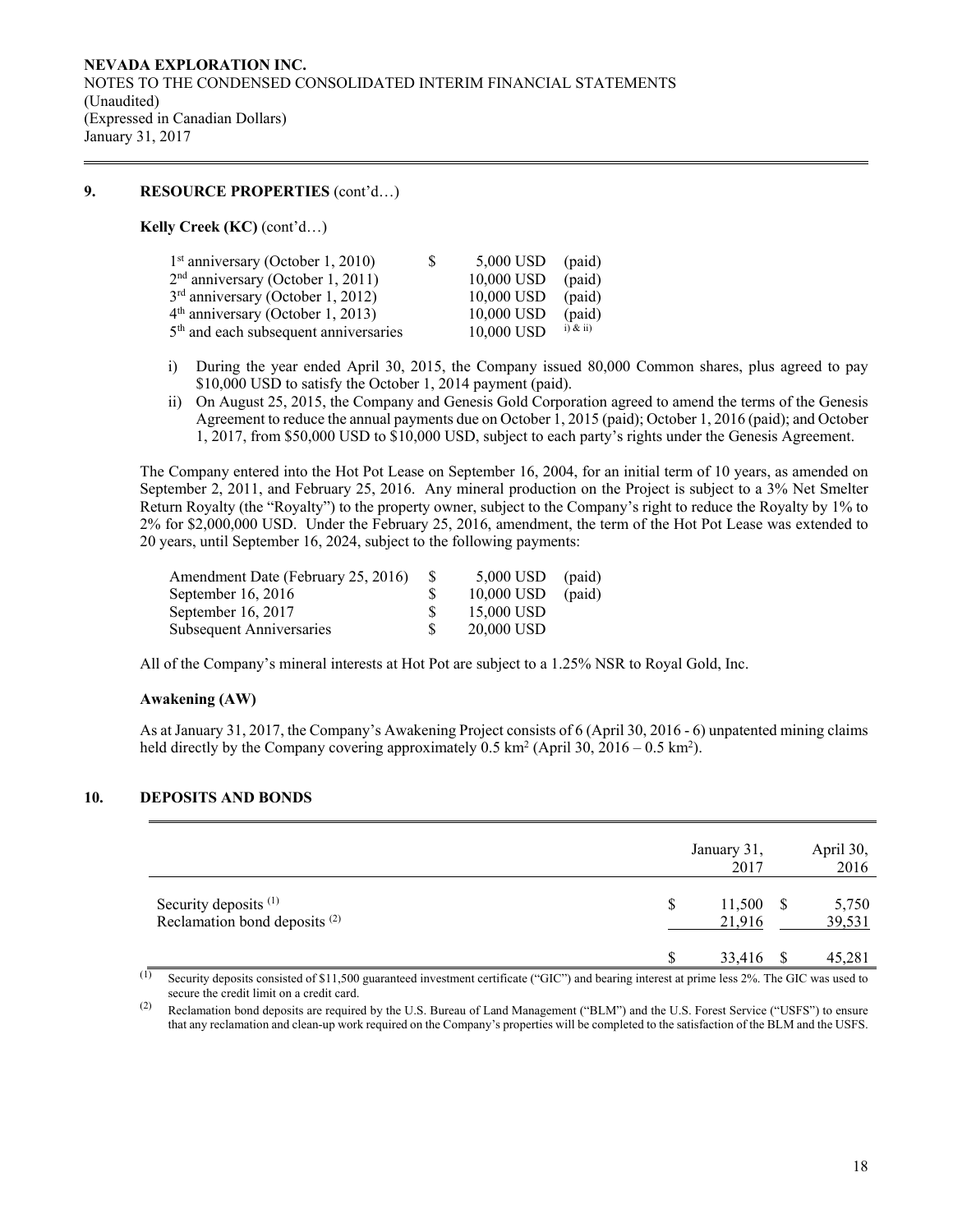# **9. RESOURCE PROPERTIES** (cont'd…)

**Kelly Creek (KC)** (cont'd…)

| $1st$ anniversary (October 1, 2010)               | S. | $5,000$ USD (paid) |               |
|---------------------------------------------------|----|--------------------|---------------|
| $2nd$ anniversary (October 1, 2011)               |    | 10,000 USD         | (paid)        |
| $3rd$ anniversary (October 1, 2012)               |    | 10,000 USD         | (paid)        |
| $4th$ anniversary (October 1, 2013)               |    | 10,000 USD         | (paid)        |
| 5 <sup>th</sup> and each subsequent anniversaries |    | 10,000 USD         | $(i)$ & $ii)$ |

- i) During the year ended April 30, 2015, the Company issued 80,000 Common shares, plus agreed to pay \$10,000 USD to satisfy the October 1, 2014 payment (paid).
- ii) On August 25, 2015, the Company and Genesis Gold Corporation agreed to amend the terms of the Genesis Agreement to reduce the annual payments due on October 1, 2015 (paid); October 1, 2016 (paid); and October 1, 2017, from \$50,000 USD to \$10,000 USD, subject to each party's rights under the Genesis Agreement.

The Company entered into the Hot Pot Lease on September 16, 2004, for an initial term of 10 years, as amended on September 2, 2011, and February 25, 2016. Any mineral production on the Project is subject to a 3% Net Smelter Return Royalty (the "Royalty") to the property owner, subject to the Company's right to reduce the Royalty by 1% to 2% for \$2,000,000 USD. Under the February 25, 2016, amendment, the term of the Hot Pot Lease was extended to 20 years, until September 16, 2024, subject to the following payments:

| - 85 | $5,000$ USD (paid) |        |
|------|--------------------|--------|
|      | 10,000 USD         | (paid) |
|      | 15,000 USD         |        |
|      | 20,000 USD         |        |
|      |                    |        |

All of the Company's mineral interests at Hot Pot are subject to a 1.25% NSR to Royal Gold, Inc.

### **Awakening (AW)**

As at January 31, 2017, the Company's Awakening Project consists of 6 (April 30, 2016 - 6) unpatented mining claims held directly by the Company covering approximately  $0.5 \text{ km}^2$  (April 30,  $2016 - 0.5 \text{ km}^2$ ).

### **10. DEPOSITS AND BONDS**

|                                                                              | January 31,<br>2017         | April 30,<br>2016 |
|------------------------------------------------------------------------------|-----------------------------|-------------------|
| Security deposits <sup>(1)</sup><br>Reclamation bond deposits <sup>(2)</sup> | \$<br>$11,500$ \$<br>21,916 | 5,750<br>39,531   |
|                                                                              | \$.<br>33,416               | 45,281            |

 $\overline{10}$  Security deposits consisted of \$11,500 guaranteed investment certificate ("GIC") and bearing interest at prime less 2%. The GIC was used to secure the credit limit on a credit card.

(2) Reclamation bond deposits are required by the U.S. Bureau of Land Management ("BLM") and the U.S. Forest Service ("USFS") to ensure that any reclamation and clean-up work required on the Company's properties will be completed to the satisfaction of the BLM and the USFS.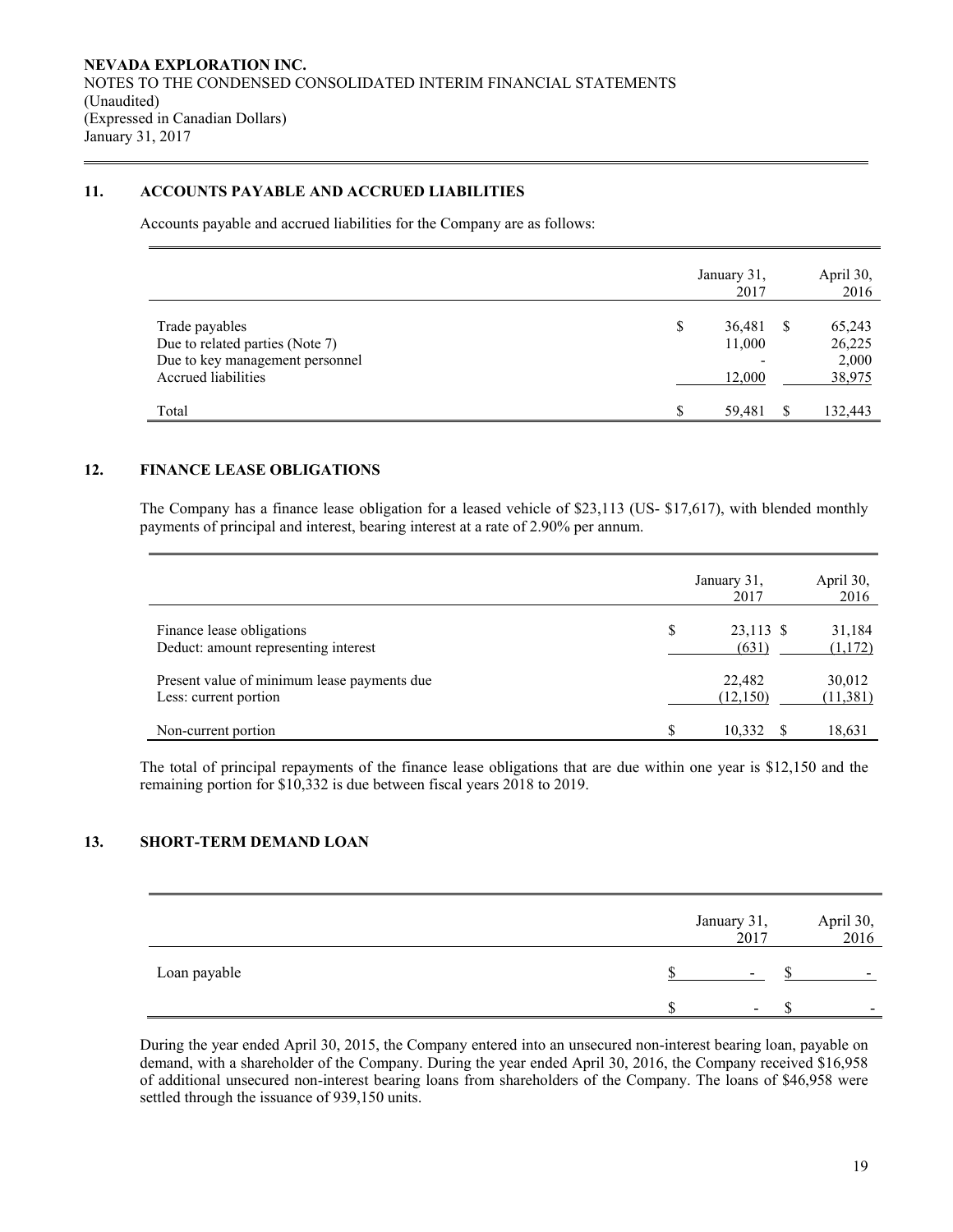# **11. ACCOUNTS PAYABLE AND ACCRUED LIABILITIES**

Accounts payable and accrued liabilities for the Company are as follows:

|                                                                                                             |     | January 31,<br>2017        |   | April 30,<br>2016                   |
|-------------------------------------------------------------------------------------------------------------|-----|----------------------------|---|-------------------------------------|
| Trade payables<br>Due to related parties (Note 7)<br>Due to key management personnel<br>Accrued liabilities | S   | 36,481<br>11,000<br>12,000 | S | 65,243<br>26,225<br>2,000<br>38,975 |
| Total                                                                                                       | \$. | 59.481                     | ς | 132,443                             |

### **12. FINANCE LEASE OBLIGATIONS**

The Company has a finance lease obligation for a leased vehicle of \$23,113 (US- \$17,617), with blended monthly payments of principal and interest, bearing interest at a rate of 2.90% per annum.

|                                                                      | January 31,<br>2017      | April 30,<br>2016   |
|----------------------------------------------------------------------|--------------------------|---------------------|
| Finance lease obligations<br>Deduct: amount representing interest    | \$<br>23,113 \$<br>(631) | 31,184<br>(1,172)   |
| Present value of minimum lease payments due<br>Less: current portion | 22,482<br>(12,150)       | 30,012<br>(11, 381) |
| Non-current portion                                                  | 10,332                   | 18,631              |

The total of principal repayments of the finance lease obligations that are due within one year is \$12,150 and the remaining portion for \$10,332 is due between fiscal years 2018 to 2019.

# **13. SHORT-TERM DEMAND LOAN**

|              | January 31,<br>2017      | April 30,<br>2016        |
|--------------|--------------------------|--------------------------|
| Loan payable | $\overline{\phantom{a}}$ | $\overline{\phantom{0}}$ |
|              |                          |                          |

During the year ended April 30, 2015, the Company entered into an unsecured non-interest bearing loan, payable on demand, with a shareholder of the Company. During the year ended April 30, 2016, the Company received \$16,958 of additional unsecured non-interest bearing loans from shareholders of the Company. The loans of \$46,958 were settled through the issuance of 939,150 units.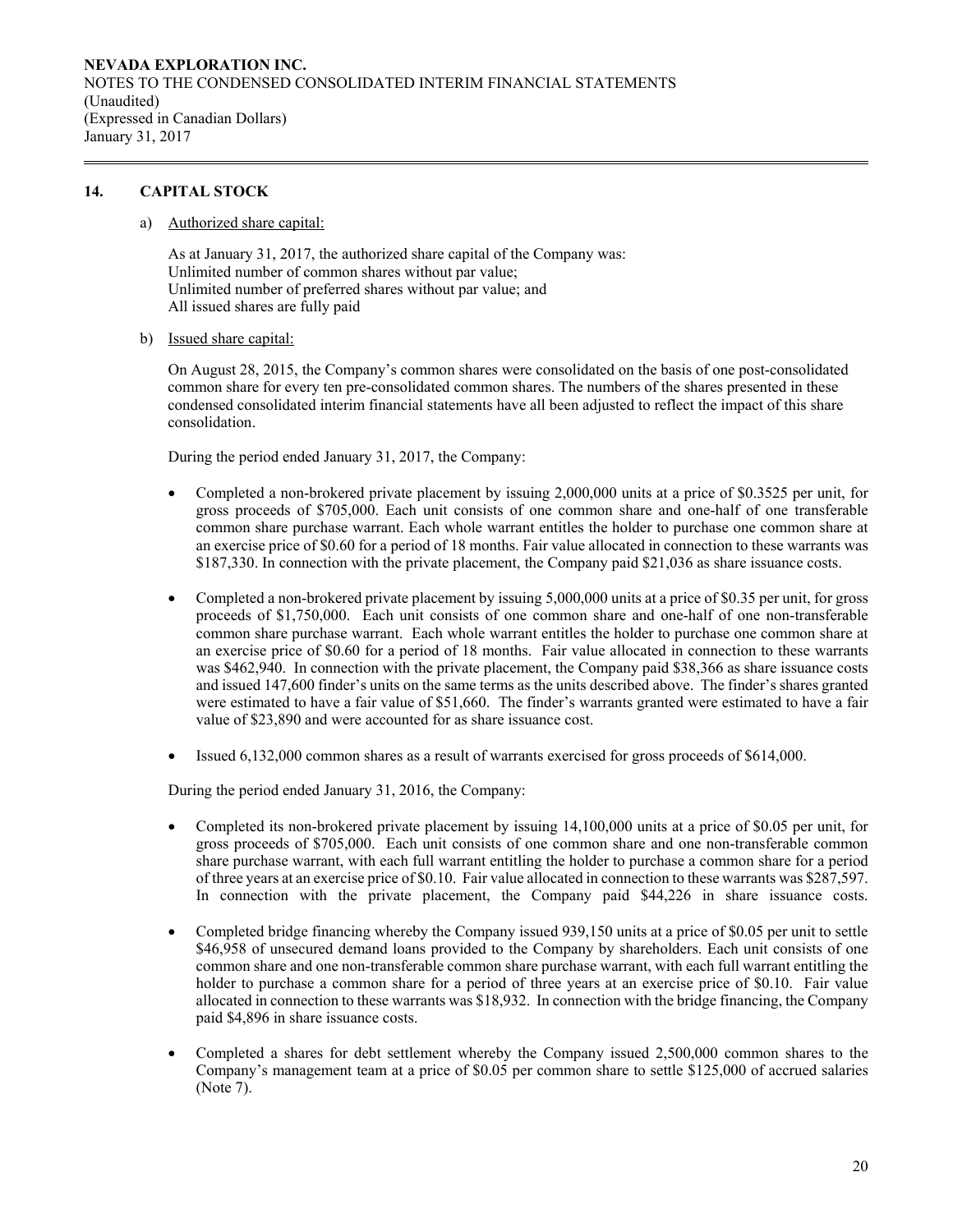# **14. CAPITAL STOCK**

a) Authorized share capital:

As at January 31, 2017, the authorized share capital of the Company was: Unlimited number of common shares without par value; Unlimited number of preferred shares without par value; and All issued shares are fully paid

b) Issued share capital:

On August 28, 2015, the Company's common shares were consolidated on the basis of one post-consolidated common share for every ten pre-consolidated common shares. The numbers of the shares presented in these condensed consolidated interim financial statements have all been adjusted to reflect the impact of this share consolidation.

During the period ended January 31, 2017, the Company:

- Completed a non-brokered private placement by issuing 2,000,000 units at a price of \$0.3525 per unit, for gross proceeds of \$705,000. Each unit consists of one common share and one-half of one transferable common share purchase warrant. Each whole warrant entitles the holder to purchase one common share at an exercise price of \$0.60 for a period of 18 months. Fair value allocated in connection to these warrants was \$187,330. In connection with the private placement, the Company paid \$21,036 as share issuance costs.
- Completed a non-brokered private placement by issuing 5,000,000 units at a price of \$0.35 per unit, for gross proceeds of \$1,750,000. Each unit consists of one common share and one-half of one non-transferable common share purchase warrant. Each whole warrant entitles the holder to purchase one common share at an exercise price of \$0.60 for a period of 18 months. Fair value allocated in connection to these warrants was \$462,940. In connection with the private placement, the Company paid \$38,366 as share issuance costs and issued 147,600 finder's units on the same terms as the units described above. The finder's shares granted were estimated to have a fair value of \$51,660. The finder's warrants granted were estimated to have a fair value of \$23,890 and were accounted for as share issuance cost.
- Issued 6,132,000 common shares as a result of warrants exercised for gross proceeds of \$614,000.

During the period ended January 31, 2016, the Company:

- Completed its non-brokered private placement by issuing 14,100,000 units at a price of \$0.05 per unit, for gross proceeds of \$705,000. Each unit consists of one common share and one non-transferable common share purchase warrant, with each full warrant entitling the holder to purchase a common share for a period of three years at an exercise price of \$0.10. Fair value allocated in connection to these warrants was \$287,597. In connection with the private placement, the Company paid \$44,226 in share issuance costs.
- Completed bridge financing whereby the Company issued 939,150 units at a price of \$0.05 per unit to settle \$46,958 of unsecured demand loans provided to the Company by shareholders. Each unit consists of one common share and one non-transferable common share purchase warrant, with each full warrant entitling the holder to purchase a common share for a period of three years at an exercise price of \$0.10. Fair value allocated in connection to these warrants was \$18,932. In connection with the bridge financing, the Company paid \$4,896 in share issuance costs.
- Completed a shares for debt settlement whereby the Company issued 2,500,000 common shares to the Company's management team at a price of \$0.05 per common share to settle \$125,000 of accrued salaries (Note 7).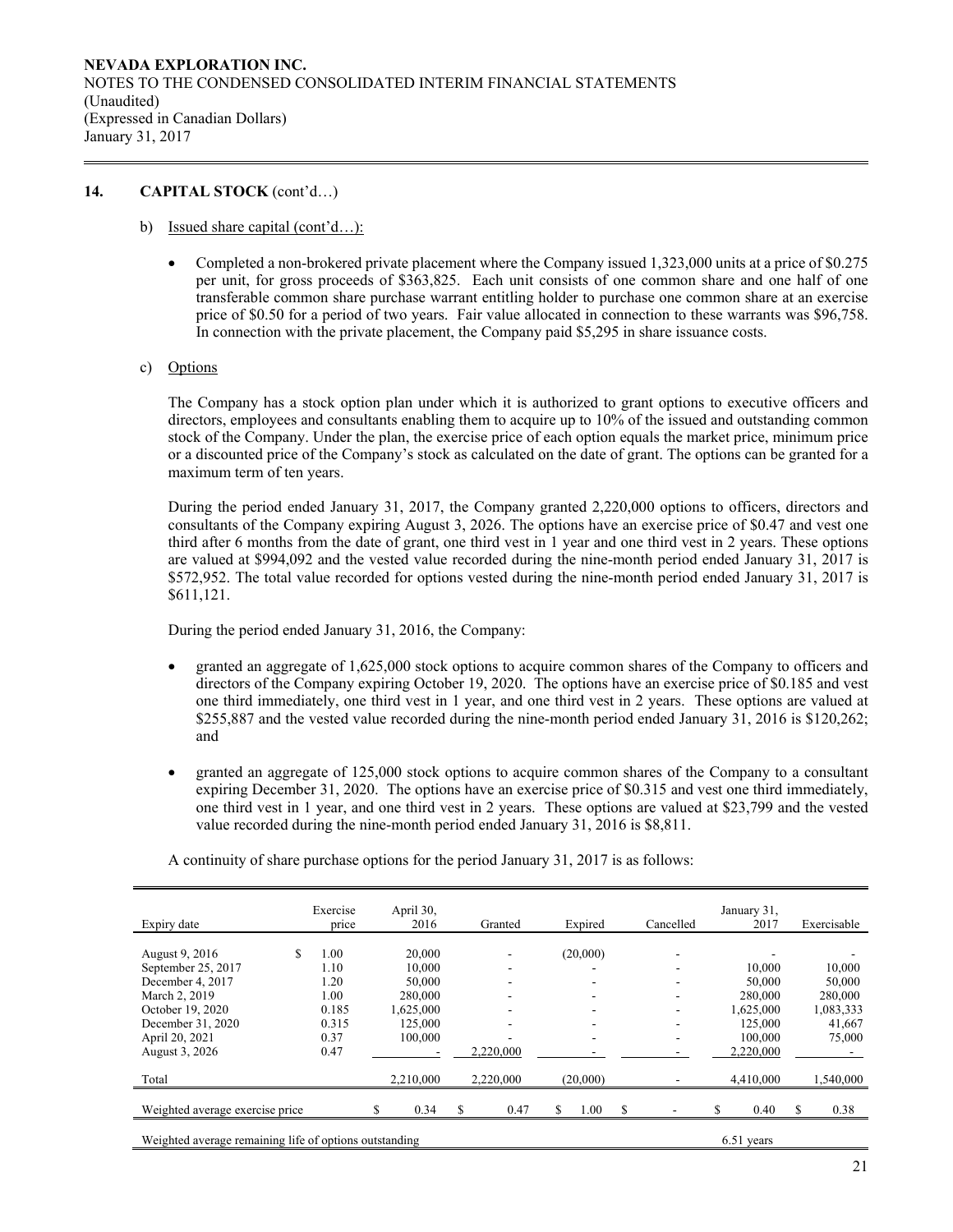# **14. CAPITAL STOCK** (cont'd…)

- b) Issued share capital (cont'd…):
	- Completed a non-brokered private placement where the Company issued 1,323,000 units at a price of \$0.275 per unit, for gross proceeds of \$363,825. Each unit consists of one common share and one half of one transferable common share purchase warrant entitling holder to purchase one common share at an exercise price of \$0.50 for a period of two years. Fair value allocated in connection to these warrants was \$96,758. In connection with the private placement, the Company paid \$5,295 in share issuance costs.
- c) Options

The Company has a stock option plan under which it is authorized to grant options to executive officers and directors, employees and consultants enabling them to acquire up to 10% of the issued and outstanding common stock of the Company. Under the plan, the exercise price of each option equals the market price, minimum price or a discounted price of the Company's stock as calculated on the date of grant. The options can be granted for a maximum term of ten years.

During the period ended January 31, 2017, the Company granted 2,220,000 options to officers, directors and consultants of the Company expiring August 3, 2026. The options have an exercise price of \$0.47 and vest one third after 6 months from the date of grant, one third vest in 1 year and one third vest in 2 years. These options are valued at \$994,092 and the vested value recorded during the nine-month period ended January 31, 2017 is \$572,952. The total value recorded for options vested during the nine-month period ended January 31, 2017 is \$611,121.

During the period ended January 31, 2016, the Company:

- granted an aggregate of 1,625,000 stock options to acquire common shares of the Company to officers and directors of the Company expiring October 19, 2020. The options have an exercise price of \$0.185 and vest one third immediately, one third vest in 1 year, and one third vest in 2 years. These options are valued at \$255,887 and the vested value recorded during the nine-month period ended January 31, 2016 is \$120,262; and
- granted an aggregate of 125,000 stock options to acquire common shares of the Company to a consultant expiring December 31, 2020. The options have an exercise price of \$0.315 and vest one third immediately, one third vest in 1 year, and one third vest in 2 years. These options are valued at \$23,799 and the vested value recorded during the nine-month period ended January 31, 2016 is \$8,811.

| Expiry date                                                          | Exercise<br>price | April 30,<br>2016 | Granted    | Expired    | Cancelled | January 31,<br>2017 | Exercisable |
|----------------------------------------------------------------------|-------------------|-------------------|------------|------------|-----------|---------------------|-------------|
|                                                                      |                   |                   |            |            |           |                     |             |
| \$.<br>August 9, 2016                                                | 1.00              | 20,000            | ۰          | (20,000)   | ۰         |                     |             |
| September 25, 2017                                                   | 1.10              | 10,000            | ٠          |            | ۰         | 10.000              | 10,000      |
| December 4, 2017                                                     | 1.20              | 50,000            | ۰          |            | -         | 50,000              | 50,000      |
| March 2, 2019                                                        | 1.00              | 280,000           | ۰          |            | ۰         | 280,000             | 280,000     |
| October 19, 2020                                                     | 0.185             | 1,625,000         | ٠          |            | ٠         | 1,625,000           | 1,083,333   |
| December 31, 2020                                                    | 0.315             | 125,000           | ٠          |            | ۰         | 125,000             | 41,667      |
| April 20, 2021                                                       | 0.37              | 100,000           | ۰          | -          | ۰         | 100,000             | 75,000      |
| August 3, 2026                                                       | 0.47              |                   | 2,220,000  |            |           | 2,220,000           |             |
| Total                                                                |                   | 2.210.000         | 2,220,000  | (20,000)   |           | 4,410,000           | 1,540,000   |
| Weighted average exercise price                                      |                   | S<br>0.34         | \$<br>0.47 | 1.00<br>\$ | S         | 0.40<br>\$          | \$.<br>0.38 |
| Weighted average remaining life of options outstanding<br>6.51 years |                   |                   |            |            |           |                     |             |

A continuity of share purchase options for the period January 31, 2017 is as follows: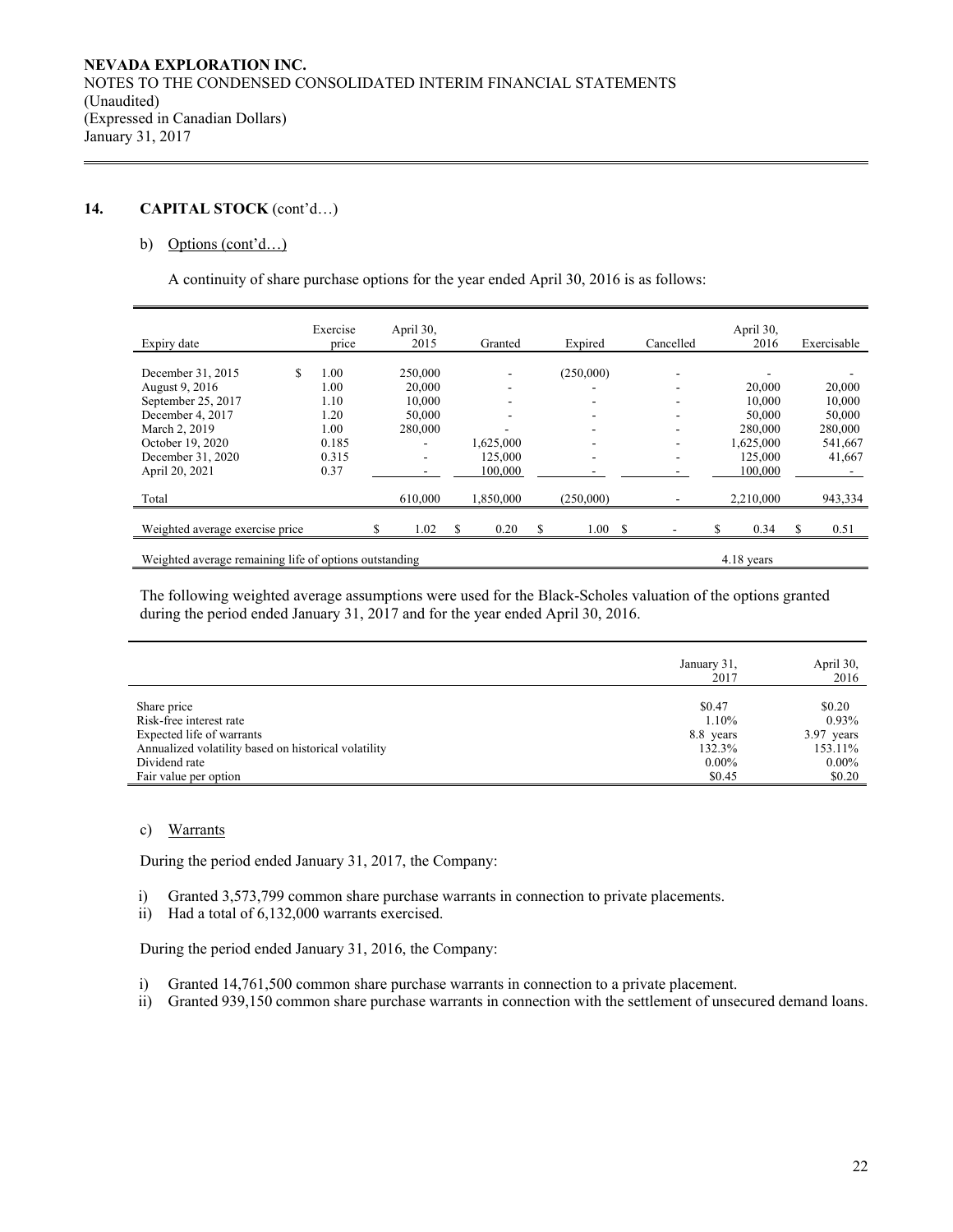# **14. CAPITAL STOCK** (cont'd…)

### b) Options (cont'd...)

A continuity of share purchase options for the year ended April 30, 2016 is as follows:

| Expiry date                                            | Exercise<br>price |  | April 30,<br>2015        |   | Granted   |   | Expired   |  | Cancelled  | April 30,<br>2016 |   | Exercisable |
|--------------------------------------------------------|-------------------|--|--------------------------|---|-----------|---|-----------|--|------------|-------------------|---|-------------|
|                                                        |                   |  |                          |   |           |   |           |  |            |                   |   |             |
| December 31, 2015<br>\$                                | 1.00              |  | 250,000                  |   |           |   | (250,000) |  | ۰          |                   |   |             |
| August 9, 2016                                         | 1.00              |  | 20,000                   |   |           |   |           |  |            | 20,000            |   | 20,000      |
| September 25, 2017                                     | 1.10              |  | 10.000                   |   |           |   |           |  |            | 10.000            |   | 10,000      |
| December 4, 2017                                       | 1.20              |  | 50,000                   |   |           |   |           |  |            | 50,000            |   | 50,000      |
| March 2, 2019                                          | 1.00              |  | 280,000                  |   |           |   |           |  |            | 280,000           |   | 280,000     |
| October 19, 2020                                       | 0.185             |  |                          |   | 1,625,000 |   |           |  | ۰          | 1,625,000         |   | 541,667     |
| December 31, 2020                                      | 0.315             |  | $\overline{\phantom{a}}$ |   | 125,000   |   | ٠         |  | ۰          | 125,000           |   | 41,667      |
| April 20, 2021                                         | 0.37              |  |                          |   | 100,000   |   |           |  |            | 100,000           |   |             |
| Total                                                  |                   |  | 610,000                  |   | 1,850,000 |   | (250,000) |  |            | 2,210,000         |   | 943,334     |
|                                                        |                   |  |                          |   |           |   |           |  |            |                   |   |             |
| Weighted average exercise price                        |                   |  | 1.02                     | S | 0.20      | S | 1.00 S    |  |            | 0.34              | S | 0.51        |
| Weighted average remaining life of options outstanding |                   |  |                          |   |           |   |           |  | 4.18 years |                   |   |             |

The following weighted average assumptions were used for the Black-Scholes valuation of the options granted during the period ended January 31, 2017 and for the year ended April 30, 2016.

|                                                      | January 31,<br>2017 | April 30,<br>2016 |
|------------------------------------------------------|---------------------|-------------------|
| Share price                                          | \$0.47              | \$0.20            |
| Risk-free interest rate                              | 1.10%               | $0.93\%$          |
| Expected life of warrants                            | 8.8 years           | $3.97$ years      |
| Annualized volatility based on historical volatility | 132.3%              | 153.11%           |
| Dividend rate                                        | $0.00\%$            | $0.00\%$          |
| Fair value per option                                | \$0.45              | \$0.20            |

# c) Warrants

During the period ended January 31, 2017, the Company:

i) Granted 3,573,799 common share purchase warrants in connection to private placements.

ii) Had a total of 6,132,000 warrants exercised.

During the period ended January 31, 2016, the Company:

- i) Granted 14,761,500 common share purchase warrants in connection to a private placement.
- ii) Granted 939,150 common share purchase warrants in connection with the settlement of unsecured demand loans.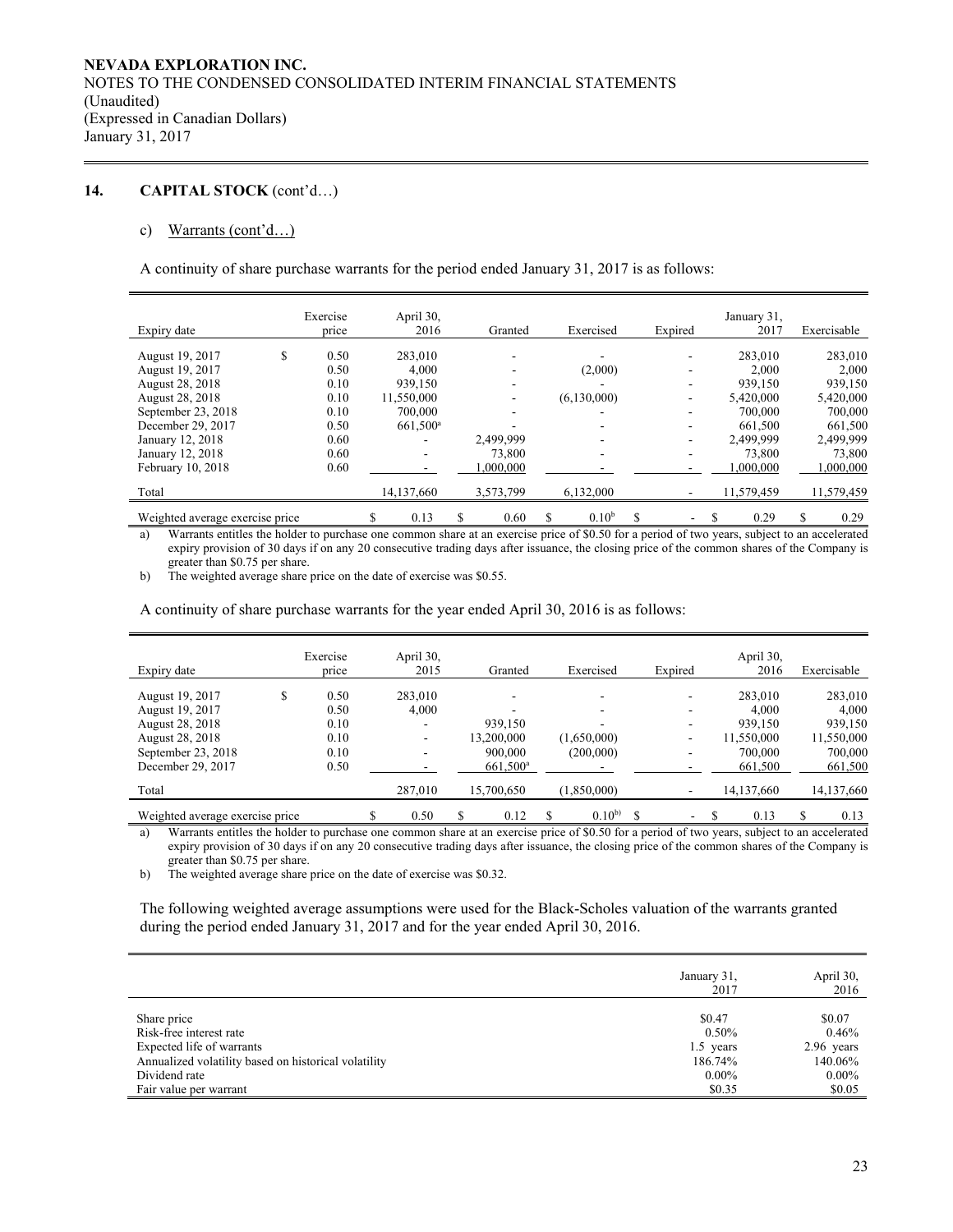# **14. CAPITAL STOCK** (cont'd…)

### c) Warrants (cont'd…)

A continuity of share purchase warrants for the period ended January 31, 2017 is as follows:

|                                 | Exercise   | April 30,         |            |                         |   |         | January 31, |   |             |
|---------------------------------|------------|-------------------|------------|-------------------------|---|---------|-------------|---|-------------|
| Expiry date                     | price      | 2016              | Granted    | Exercised               |   | Expired | 2017        |   | Exercisable |
|                                 |            |                   |            |                         |   |         |             |   |             |
| August 19, 2017                 | \$<br>0.50 | 283,010           |            |                         |   |         | 283,010     |   | 283,010     |
| August 19, 2017                 | 0.50       | 4.000             |            | (2,000)                 |   |         | 2.000       |   | 2.000       |
| August 28, 2018                 | 0.10       | 939,150           |            |                         |   |         | 939.150     |   | 939.150     |
| August 28, 2018                 | 0.10       | 11,550,000        |            | (6,130,000)             |   |         | 5,420,000   |   | 5,420,000   |
| September 23, 2018              | 0.10       | 700,000           |            | -                       |   |         | 700,000     |   | 700,000     |
| December 29, 2017               | 0.50       | $661.500^{\rm a}$ |            |                         |   |         | 661,500     |   | 661,500     |
| January 12, 2018                | 0.60       |                   | 2,499,999  |                         |   |         | 2.499.999   |   | 2,499,999   |
| January 12, 2018                | 0.60       |                   | 73,800     |                         |   |         | 73,800      |   | 73,800      |
| February 10, 2018               | 0.60       |                   | 000,000    |                         |   |         | 1,000,000   |   | 1,000,000   |
| Total                           |            | 14,137,660        | 3,573,799  | 6,132,000               |   |         | 11,579,459  |   | 11,579,459  |
| Weighted average exercise price |            | \$<br>0.13        | \$<br>0.60 | \$<br>0.10 <sup>b</sup> | S | ۰       | 0.29        | S | 0.29        |

a) Warrants entitles the holder to purchase one common share at an exercise price of \$0.50 for a period of two years, subject to an accelerated expiry provision of 30 days if on any 20 consecutive trading days after issuance, the closing price of the common shares of the Company is greater than \$0.75 per share.

b) The weighted average share price on the date of exercise was \$0.55.

A continuity of share purchase warrants for the year ended April 30, 2016 is as follows:

|                                 | Exercise   | April 30,  |   |                      |             |                          | April 30,  |   |             |
|---------------------------------|------------|------------|---|----------------------|-------------|--------------------------|------------|---|-------------|
| Expiry date                     | price      | 2015       |   | Granted              | Exercised   | Expired                  | 2016       |   | Exercisable |
| August 19, 2017                 | \$<br>0.50 | 283,010    |   |                      |             | -                        | 283,010    |   | 283,010     |
| August 19, 2017                 | 0.50       | 4.000      |   |                      |             | $\overline{\phantom{a}}$ | 4.000      |   | 4,000       |
| August 28, 2018                 | 0.10       |            |   | 939,150              |             |                          | 939.150    |   | 939,150     |
| August 28, 2018                 | 0.10       | ۰.         |   | 13,200,000           | (1,650,000) | ٠                        | 11,550,000 |   | 11,550,000  |
| September 23, 2018              | 0.10       | -          |   | 900,000              | (200,000)   |                          | 700,000    |   | 700,000     |
| December 29, 2017               | 0.50       |            |   | 661,500 <sup>a</sup> |             |                          | 661,500    |   | 661,500     |
| Total                           |            | 287,010    |   | 15,700,650           | (1,850,000) |                          | 14,137,660 |   | 14,137,660  |
| Weighted average exercise price |            | \$<br>0.50 | S | 0.12                 | $0.10^{b}$  | ۰.                       | 0.13       | S | 0.13        |

a) Warrants entitles the holder to purchase one common share at an exercise price of \$0.50 for a period of two years, subject to an accelerated expiry provision of 30 days if on any 20 consecutive trading days after issuance, the closing price of the common shares of the Company is greater than \$0.75 per share.

b) The weighted average share price on the date of exercise was \$0.32.

The following weighted average assumptions were used for the Black-Scholes valuation of the warrants granted during the period ended January 31, 2017 and for the year ended April 30, 2016.

|                                                      | January 31,<br>2017 | April 30,<br>2016 |
|------------------------------------------------------|---------------------|-------------------|
| Share price<br>Risk-free interest rate               | \$0.47<br>$0.50\%$  | \$0.07<br>0.46%   |
| Expected life of warrants                            | 1.5 years           | $2.96$ years      |
| Annualized volatility based on historical volatility | 186.74%             | 140.06%           |
| Dividend rate                                        | $0.00\%$            | $0.00\%$          |
| Fair value per warrant                               | \$0.35              | \$0.05            |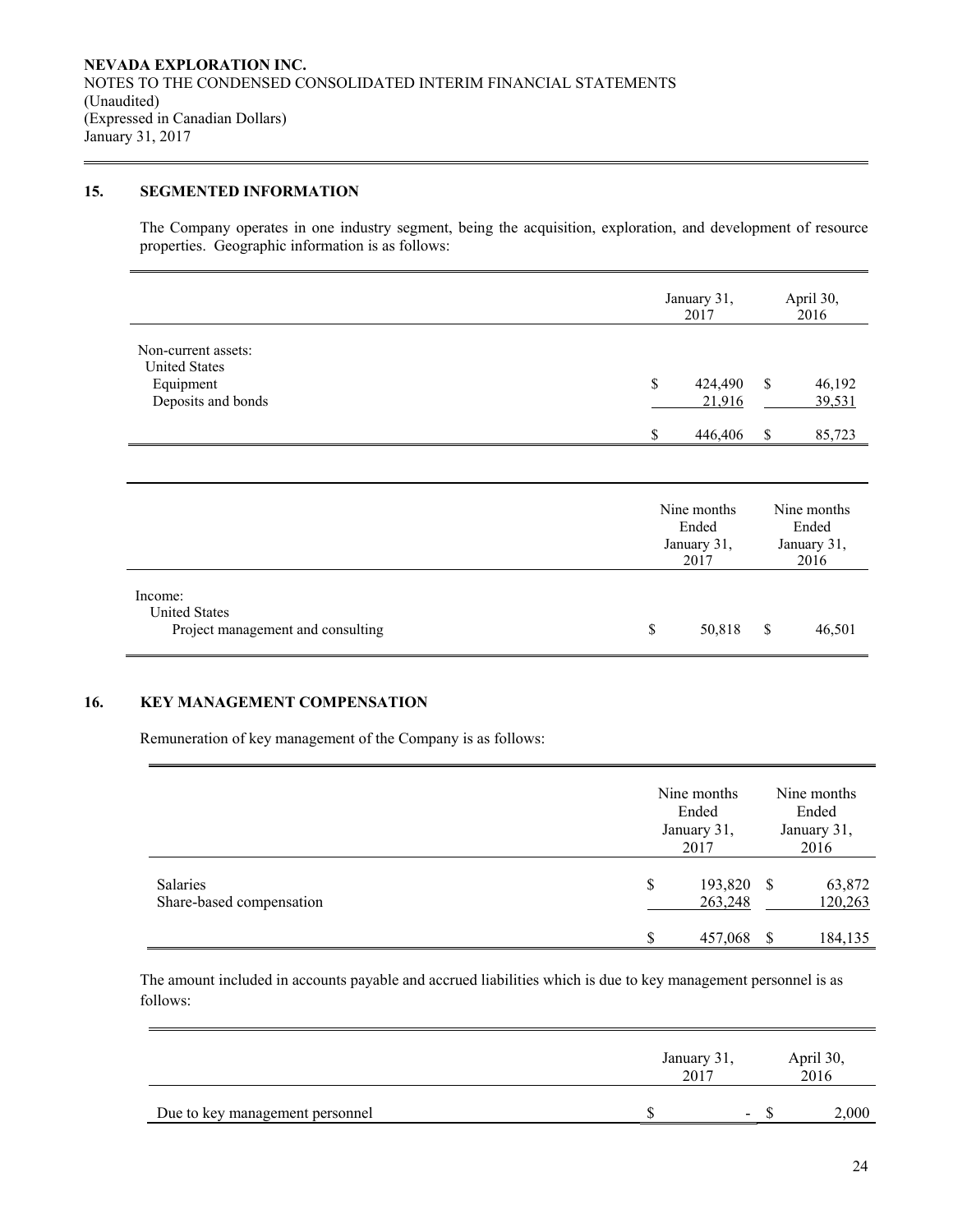# **15. SEGMENTED INFORMATION**

The Company operates in one industry segment, being the acquisition, exploration, and development of resource properties. Geographic information is as follows:

|                                                                                | January 31,<br>2017                         | April 30,<br>2016                                 |  |  |
|--------------------------------------------------------------------------------|---------------------------------------------|---------------------------------------------------|--|--|
| Non-current assets:<br><b>United States</b><br>Equipment<br>Deposits and bonds | \$<br>424,490<br>21,916<br>446,406<br>S     | \$<br>46,192<br>39,531<br><sup>\$</sup><br>85,723 |  |  |
|                                                                                | Nine months<br>Ended<br>January 31,<br>2017 | Nine months<br>Ended<br>January 31,<br>2016       |  |  |
| Income:<br><b>United States</b><br>Project management and consulting           | \$<br>50,818                                | \$<br>46,501                                      |  |  |

# **16. KEY MANAGEMENT COMPENSATION**

Remuneration of key management of the Company is as follows:

|                                      | Nine months<br>Ended<br>January 31,<br>2017 | Nine months<br>Ended<br>January 31,<br>2016 |                              |  |
|--------------------------------------|---------------------------------------------|---------------------------------------------|------------------------------|--|
| Salaries<br>Share-based compensation | \$<br>193,820<br>263,248<br>457,068         | - \$<br>-S                                  | 63,872<br>120,263<br>184,135 |  |

The amount included in accounts payable and accrued liabilities which is due to key management personnel is as follows:

|                                 | January 31,<br>2017 |                          |  | April 30,<br>2016 |  |  |
|---------------------------------|---------------------|--------------------------|--|-------------------|--|--|
| Due to key management personnel |                     | $\overline{\phantom{0}}$ |  | 2,000             |  |  |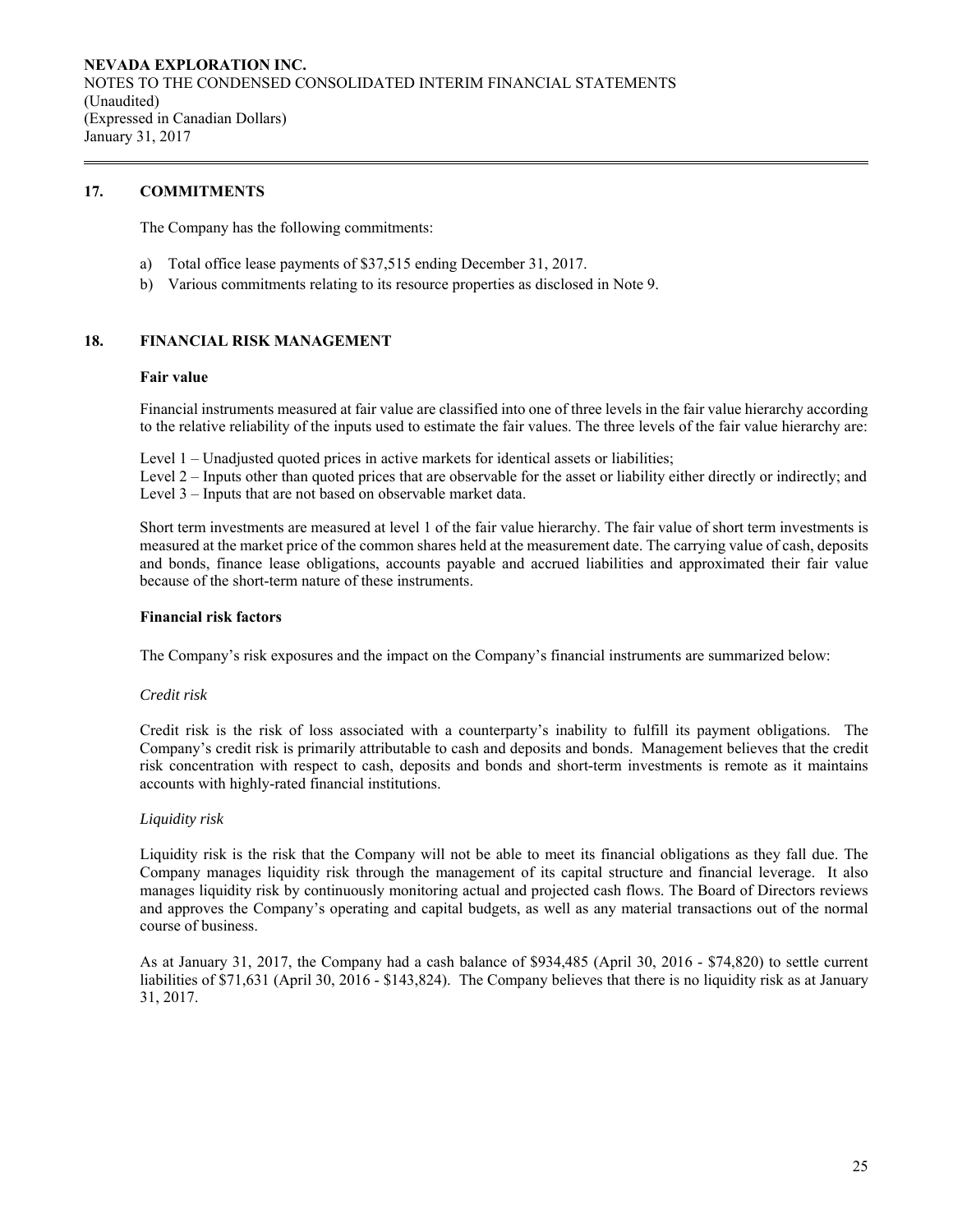# **17. COMMITMENTS**

The Company has the following commitments:

- a) Total office lease payments of \$37,515 ending December 31, 2017.
- b) Various commitments relating to its resource properties as disclosed in Note 9.

# **18. FINANCIAL RISK MANAGEMENT**

### **Fair value**

Financial instruments measured at fair value are classified into one of three levels in the fair value hierarchy according to the relative reliability of the inputs used to estimate the fair values. The three levels of the fair value hierarchy are:

Level 1 – Unadjusted quoted prices in active markets for identical assets or liabilities;

Level 2 – Inputs other than quoted prices that are observable for the asset or liability either directly or indirectly; and Level 3 – Inputs that are not based on observable market data.

Short term investments are measured at level 1 of the fair value hierarchy. The fair value of short term investments is measured at the market price of the common shares held at the measurement date. The carrying value of cash, deposits and bonds, finance lease obligations, accounts payable and accrued liabilities and approximated their fair value because of the short-term nature of these instruments.

### **Financial risk factors**

The Company's risk exposures and the impact on the Company's financial instruments are summarized below:

### *Credit risk*

 Credit risk is the risk of loss associated with a counterparty's inability to fulfill its payment obligations. The Company's credit risk is primarily attributable to cash and deposits and bonds. Management believes that the credit risk concentration with respect to cash, deposits and bonds and short-term investments is remote as it maintains accounts with highly-rated financial institutions.

### *Liquidity risk*

Liquidity risk is the risk that the Company will not be able to meet its financial obligations as they fall due. The Company manages liquidity risk through the management of its capital structure and financial leverage. It also manages liquidity risk by continuously monitoring actual and projected cash flows. The Board of Directors reviews and approves the Company's operating and capital budgets, as well as any material transactions out of the normal course of business.

As at January 31, 2017, the Company had a cash balance of \$934,485 (April 30, 2016 - \$74,820) to settle current liabilities of \$71,631 (April 30, 2016 - \$143,824). The Company believes that there is no liquidity risk as at January 31, 2017.